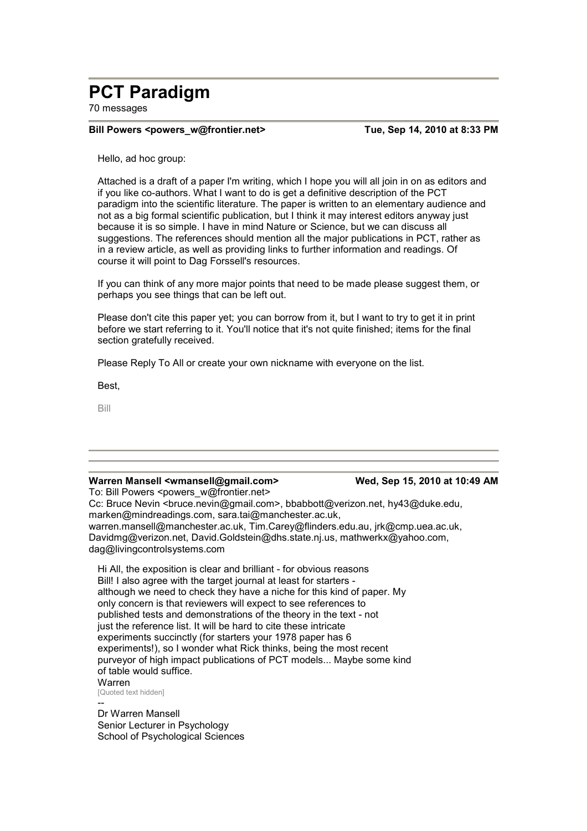# **PCT Paradigm**

70 messages

#### **Bill Powers <powers w@frontier.net>** Tue, Sep 14, 2010 at 8:33 PM

Hello, ad hoc group:

Attached is a draft of a paper I'm writing, which I hope you will all join in on as editors and if you like co-authors. What I want to do is get a definitive description of the PCT paradigm into the scientific literature. The paper is written to an elementary audience and not as a big formal scientific publication, but I think it may interest editors anyway just because it is so simple. I have in mind Nature or Science, but we can discuss all suggestions. The references should mention all the major publications in PCT, rather as in a review article, as well as providing links to further information and readings. Of course it will point to Dag Forssell's resources.

If you can think of any more major points that need to be made please suggest them, or perhaps you see things that can be left out.

Please don't cite this paper yet; you can borrow from it, but I want to try to get it in print before we start referring to it. You'll notice that it's not quite finished; items for the final section gratefully received.

Please Reply To All or create your own nickname with everyone on the list.

Best,

Bill

### Warren Mansell <wmansell@gmail.com> Wed, Sep 15, 2010 at 10:49 AM

To: Bill Powers <powers\_w@frontier.net> Cc: Bruce Nevin <bruce.nevin@gmail.com>, bbabbott@verizon.net, hy43@duke.edu, marken@mindreadings.com, sara.tai@manchester.ac.uk, warren.mansell@manchester.ac.uk, Tim.Carey@flinders.edu.au, jrk@cmp.uea.ac.uk, Davidmg@verizon.net, David.Goldstein@dhs.state.nj.us, mathwerkx@yahoo.com, dag@livingcontrolsystems.com

Hi All, the exposition is clear and brilliant - for obvious reasons Bill! I also agree with the target journal at least for starters although we need to check they have a niche for this kind of paper. My only concern is that reviewers will expect to see references to published tests and demonstrations of the theory in the text - not just the reference list. It will be hard to cite these intricate experiments succinctly (for starters your 1978 paper has 6 experiments!), so I wonder what Rick thinks, being the most recent purveyor of high impact publications of PCT models... Maybe some kind of table would suffice. Warren

[Quoted text hidden]

-- Dr Warren Mansell Senior Lecturer in Psychology School of Psychological Sciences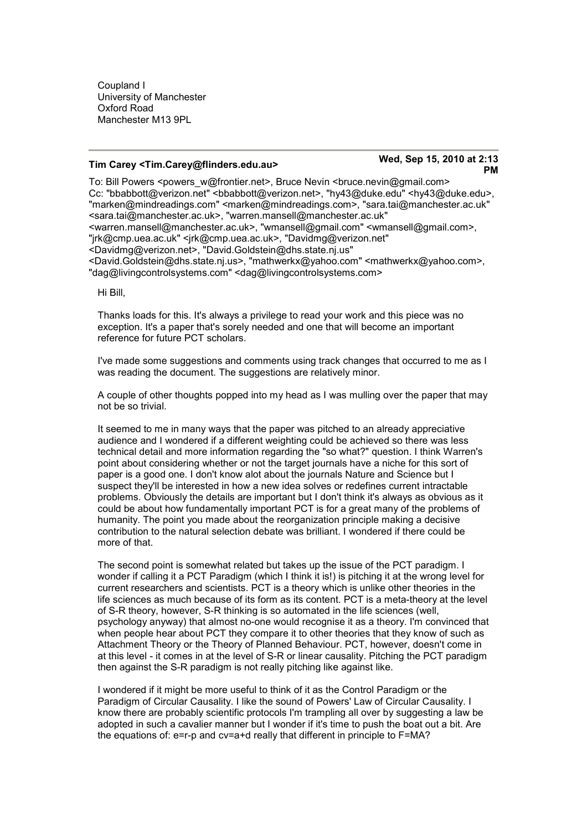Coupland I University of Manchester Oxford Road Manchester M13 9PL

## **Tim Carey <Tim.Carey@flinders.edu.au> Wed, Sep 15, 2010 at 2:13**

# **PM**

To: Bill Powers <powers\_w@frontier.net>, Bruce Nevin <br/> <br/>formexin@gmail.com> Cc: "bbabbott@verizon.net" <bbabbott@verizon.net>, "hy43@duke.edu" <hy43@duke.edu>, "marken@mindreadings.com" <marken@mindreadings.com>, "sara.tai@manchester.ac.uk" <sara.tai@manchester.ac.uk>, "warren.mansell@manchester.ac.uk" <warren.mansell@manchester.ac.uk>, "wmansell@gmail.com" <wmansell@gmail.com>, "jrk@cmp.uea.ac.uk" <jrk@cmp.uea.ac.uk>, "Davidmg@verizon.net" <Davidmg@verizon.net>, "David.Goldstein@dhs.state.nj.us" <David.Goldstein@dhs.state.nj.us>, "mathwerkx@yahoo.com" <mathwerkx@yahoo.com>, "dag@livingcontrolsystems.com" <dag@livingcontrolsystems.com>

Hi Bill,

Thanks loads for this. It's always a privilege to read your work and this piece was no exception. It's a paper that's sorely needed and one that will become an important reference for future PCT scholars.

I've made some suggestions and comments using track changes that occurred to me as I was reading the document. The suggestions are relatively minor.

A couple of other thoughts popped into my head as I was mulling over the paper that may not be so trivial.

It seemed to me in many ways that the paper was pitched to an already appreciative audience and I wondered if a different weighting could be achieved so there was less technical detail and more information regarding the "so what?" question. I think Warren's point about considering whether or not the target journals have a niche for this sort of paper is a good one. I don't know alot about the journals Nature and Science but I suspect they'll be interested in how a new idea solves or redefines current intractable problems. Obviously the details are important but I don't think it's always as obvious as it could be about how fundamentally important PCT is for a great many of the problems of humanity. The point you made about the reorganization principle making a decisive contribution to the natural selection debate was brilliant. I wondered if there could be more of that.

The second point is somewhat related but takes up the issue of the PCT paradigm. I wonder if calling it a PCT Paradigm (which I think it is!) is pitching it at the wrong level for current researchers and scientists. PCT is a theory which is unlike other theories in the life sciences as much because of its form as its content. PCT is a meta-theory at the level of S-R theory, however, S-R thinking is so automated in the life sciences (well, psychology anyway) that almost no-one would recognise it as a theory. I'm convinced that when people hear about PCT they compare it to other theories that they know of such as Attachment Theory or the Theory of Planned Behaviour. PCT, however, doesn't come in at this level - it comes in at the level of S-R or linear causality. Pitching the PCT paradigm then against the S-R paradigm is not really pitching like against like.

I wondered if it might be more useful to think of it as the Control Paradigm or the Paradigm of Circular Causality. I like the sound of Powers' Law of Circular Causality. I know there are probably scientific protocols I'm trampling all over by suggesting a law be adopted in such a cavalier manner but I wonder if it's time to push the boat out a bit. Are the equations of: e=r-p and cv=a+d really that different in principle to F=MA?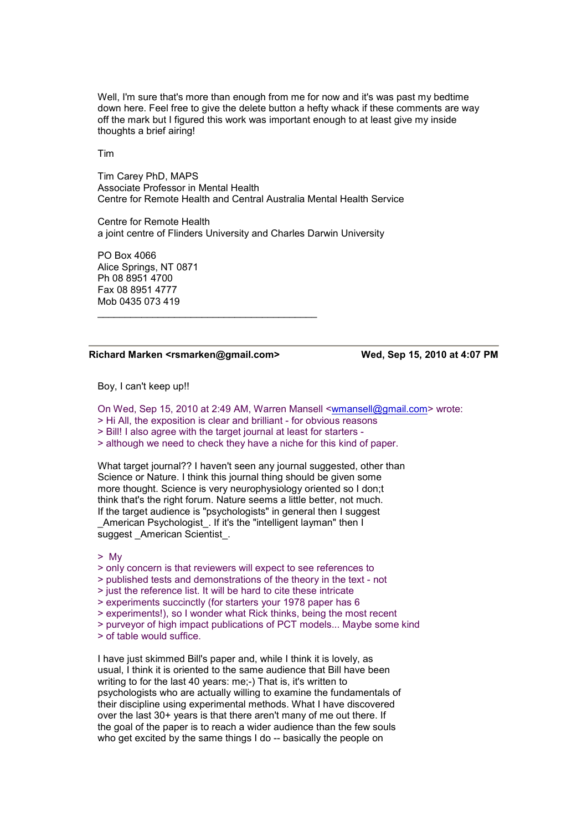Well, I'm sure that's more than enough from me for now and it's was past my bedtime down here. Feel free to give the delete button a hefty whack if these comments are way off the mark but I figured this work was important enough to at least give my inside thoughts a brief airing!

Tim

Tim Carey PhD, MAPS Associate Professor in Mental Health Centre for Remote Health and Central Australia Mental Health Service

Centre for Remote Health a joint centre of Flinders University and Charles Darwin University

PO Box 4066 Alice Springs, NT 0871 Ph 08 8951 4700 Fax 08 8951 4777 Mob 0435 073 419

#### **Richard Marken <rsmarken@gmail.com> Wed, Sep 15, 2010 at 4:07 PM**

\_\_\_\_\_\_\_\_\_\_\_\_\_\_\_\_\_\_\_\_\_\_\_\_\_\_\_\_\_\_\_\_\_\_\_\_\_\_\_\_

Boy, I can't keep up!!

On Wed, Sep 15, 2010 at 2:49 AM, Warren Mansell <wmansell@gmail.com> wrote:

> Hi All, the exposition is clear and brilliant - for obvious reasons

> Bill! I also agree with the target journal at least for starters -

> although we need to check they have a niche for this kind of paper.

What target journal?? I haven't seen any journal suggested, other than Science or Nature. I think this journal thing should be given some more thought. Science is very neurophysiology oriented so I don;t think that's the right forum. Nature seems a little better, not much. If the target audience is "psychologists" in general then I suggest \_American Psychologist\_. If it's the "intelligent layman" then I suggest American Scientist.

> My

> only concern is that reviewers will expect to see references to

> published tests and demonstrations of the theory in the text - not

> just the reference list. It will be hard to cite these intricate

> experiments succinctly (for starters your 1978 paper has 6

> experiments!), so I wonder what Rick thinks, being the most recent

> purveyor of high impact publications of PCT models... Maybe some kind

> of table would suffice.

I have just skimmed Bill's paper and, while I think it is lovely, as usual, I think it is oriented to the same audience that Bill have been writing to for the last 40 years: me;-) That is, it's written to psychologists who are actually willing to examine the fundamentals of their discipline using experimental methods. What I have discovered over the last 30+ years is that there aren't many of me out there. If the goal of the paper is to reach a wider audience than the few souls who get excited by the same things I do -- basically the people on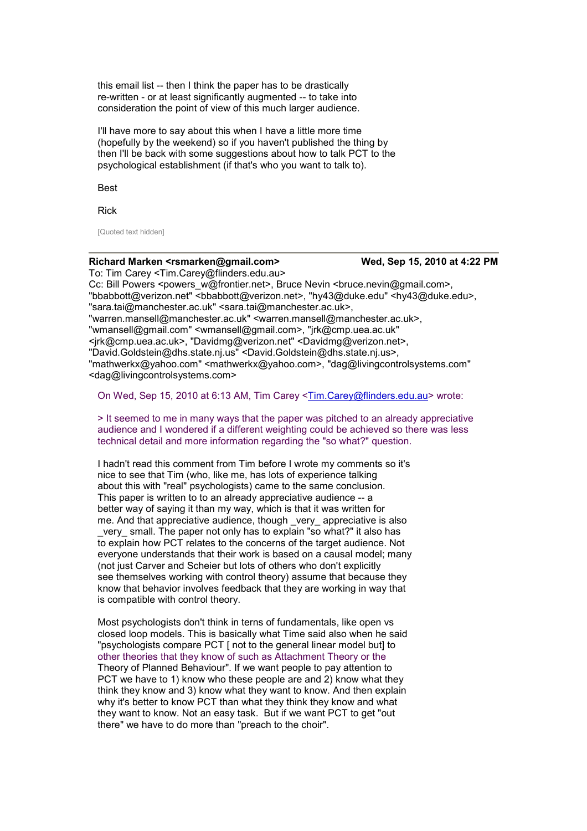this email list -- then I think the paper has to be drastically re-written - or at least significantly augmented -- to take into consideration the point of view of this much larger audience.

I'll have more to say about this when I have a little more time (hopefully by the weekend) so if you haven't published the thing by then I'll be back with some suggestions about how to talk PCT to the psychological establishment (if that's who you want to talk to).

Best

Rick

[Quoted text hidden]

### **Richard Marken <rsmarken@gmail.com> Wed, Sep 15, 2010 at 4:22 PM**

To: Tim Carey <Tim.Carey@flinders.edu.au> Cc: Bill Powers <powers\_w@frontier.net>, Bruce Nevin <br/> <br/> <br/> <br/> <br/>Sumail.com>, "bbabbott@verizon.net" <bbabbott@verizon.net>, "hy43@duke.edu" <hy43@duke.edu>. "sara.tai@manchester.ac.uk" <sara.tai@manchester.ac.uk>, "warren.mansell@manchester.ac.uk" <warren.mansell@manchester.ac.uk>, "wmansell@gmail.com" <wmansell@gmail.com>, "jrk@cmp.uea.ac.uk" <jrk@cmp.uea.ac.uk>, "Davidmg@verizon.net" <Davidmg@verizon.net>, "David.Goldstein@dhs.state.nj.us" <David.Goldstein@dhs.state.nj.us>, "mathwerkx@yahoo.com" <mathwerkx@yahoo.com>, "dag@livingcontrolsystems.com" <dag@livingcontrolsystems.com>

On Wed, Sep 15, 2010 at 6:13 AM, Tim Carey <Tim.Carey@flinders.edu.au> wrote:

> It seemed to me in many ways that the paper was pitched to an already appreciative audience and I wondered if a different weighting could be achieved so there was less technical detail and more information regarding the "so what?" question.

I hadn't read this comment from Tim before I wrote my comments so it's nice to see that Tim (who, like me, has lots of experience talking about this with "real" psychologists) came to the same conclusion. This paper is written to to an already appreciative audience -- a better way of saying it than my way, which is that it was written for me. And that appreciative audience, though very appreciative is also very small. The paper not only has to explain "so what?" it also has to explain how PCT relates to the concerns of the target audience. Not everyone understands that their work is based on a causal model; many (not just Carver and Scheier but lots of others who don't explicitly see themselves working with control theory) assume that because they know that behavior involves feedback that they are working in way that is compatible with control theory.

Most psychologists don't think in terns of fundamentals, like open vs closed loop models. This is basically what Time said also when he said "psychologists compare PCT [ not to the general linear model but] to other theories that they know of such as Attachment Theory or the Theory of Planned Behaviour". If we want people to pay attention to PCT we have to 1) know who these people are and 2) know what they think they know and 3) know what they want to know. And then explain why it's better to know PCT than what they think they know and what they want to know. Not an easy task. But if we want PCT to get "out there" we have to do more than "preach to the choir".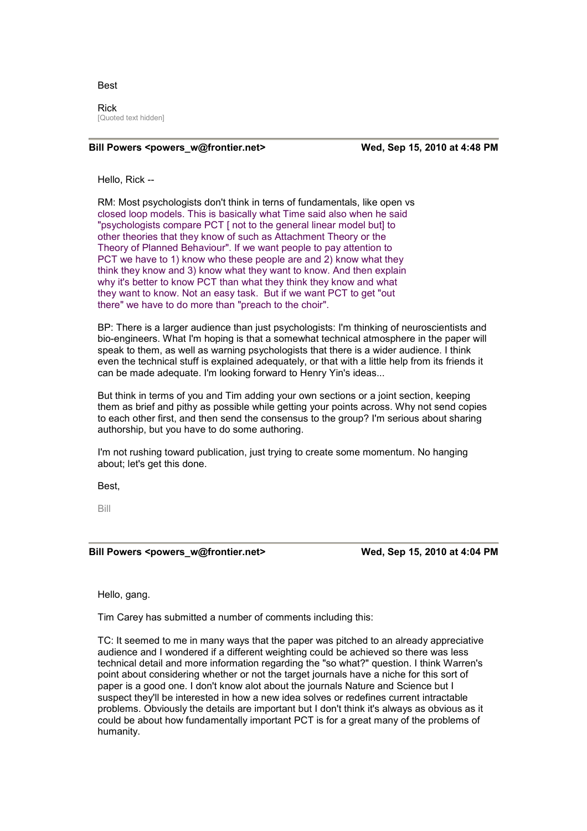#### Best

Rick [Quoted text hidden]

#### **Bill Powers <powers** w@frontier.net> Wed, Sep 15, 2010 at 4:48 PM

Hello, Rick --

RM: Most psychologists don't think in terns of fundamentals, like open vs closed loop models. This is basically what Time said also when he said "psychologists compare PCT [ not to the general linear model but] to other theories that they know of such as Attachment Theory or the Theory of Planned Behaviour". If we want people to pay attention to PCT we have to 1) know who these people are and 2) know what they think they know and 3) know what they want to know. And then explain why it's better to know PCT than what they think they know and what they want to know. Not an easy task. But if we want PCT to get "out there" we have to do more than "preach to the choir".

BP: There is a larger audience than just psychologists: I'm thinking of neuroscientists and bio-engineers. What I'm hoping is that a somewhat technical atmosphere in the paper will speak to them, as well as warning psychologists that there is a wider audience. I think even the technical stuff is explained adequately, or that with a little help from its friends it can be made adequate. I'm looking forward to Henry Yin's ideas...

But think in terms of you and Tim adding your own sections or a joint section, keeping them as brief and pithy as possible while getting your points across. Why not send copies to each other first, and then send the consensus to the group? I'm serious about sharing authorship, but you have to do some authoring.

I'm not rushing toward publication, just trying to create some momentum. No hanging about; let's get this done.

Best,

Bill

**Bill Powers <powers\_w@frontier.net> Wed, Sep 15, 2010 at 4:04 PM** 

Hello, gang.

Tim Carey has submitted a number of comments including this:

TC: It seemed to me in many ways that the paper was pitched to an already appreciative audience and I wondered if a different weighting could be achieved so there was less technical detail and more information regarding the "so what?" question. I think Warren's point about considering whether or not the target journals have a niche for this sort of paper is a good one. I don't know alot about the journals Nature and Science but I suspect they'll be interested in how a new idea solves or redefines current intractable problems. Obviously the details are important but I don't think it's always as obvious as it could be about how fundamentally important PCT is for a great many of the problems of humanity.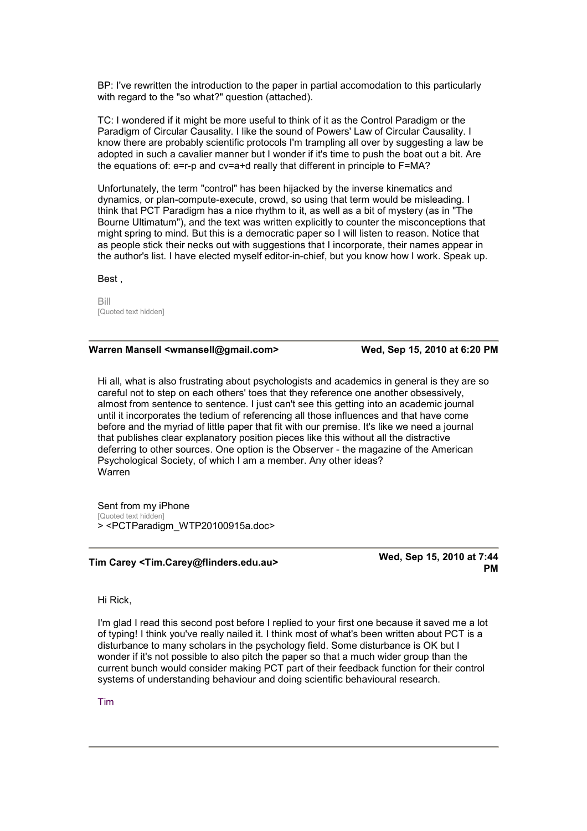BP: I've rewritten the introduction to the paper in partial accomodation to this particularly with regard to the "so what?" question (attached).

TC: I wondered if it might be more useful to think of it as the Control Paradigm or the Paradigm of Circular Causality. I like the sound of Powers' Law of Circular Causality. I know there are probably scientific protocols I'm trampling all over by suggesting a law be adopted in such a cavalier manner but I wonder if it's time to push the boat out a bit. Are the equations of: e=r-p and cv=a+d really that different in principle to F=MA?

Unfortunately, the term "control" has been hijacked by the inverse kinematics and dynamics, or plan-compute-execute, crowd, so using that term would be misleading. I think that PCT Paradigm has a nice rhythm to it, as well as a bit of mystery (as in "The Bourne Ultimatum"), and the text was written explicitly to counter the misconceptions that might spring to mind. But this is a democratic paper so I will listen to reason. Notice that as people stick their necks out with suggestions that I incorporate, their names appear in the author's list. I have elected myself editor-in-chief, but you know how I work. Speak up.

Best ,

Bill [Quoted text hidden]

#### Warren Mansell <wmansell@gmail.com> Wed, Sep 15, 2010 at 6:20 PM

Hi all, what is also frustrating about psychologists and academics in general is they are so careful not to step on each others' toes that they reference one another obsessively, almost from sentence to sentence. I just can't see this getting into an academic journal until it incorporates the tedium of referencing all those influences and that have come before and the myriad of little paper that fit with our premise. It's like we need a journal that publishes clear explanatory position pieces like this without all the distractive deferring to other sources. One option is the Observer - the magazine of the American Psychological Society, of which I am a member. Any other ideas? Warren

Sent from my iPhone [Quoted text hidden] > <PCTParadigm\_WTP20100915a.doc>

## **Tim Carey <Tim.Carey@flinders.edu.au> Wed, Sep 15, 2010 at 7:44**

**PM** 

Hi Rick,

I'm glad I read this second post before I replied to your first one because it saved me a lot of typing! I think you've really nailed it. I think most of what's been written about PCT is a disturbance to many scholars in the psychology field. Some disturbance is OK but I wonder if it's not possible to also pitch the paper so that a much wider group than the current bunch would consider making PCT part of their feedback function for their control systems of understanding behaviour and doing scientific behavioural research.

Tim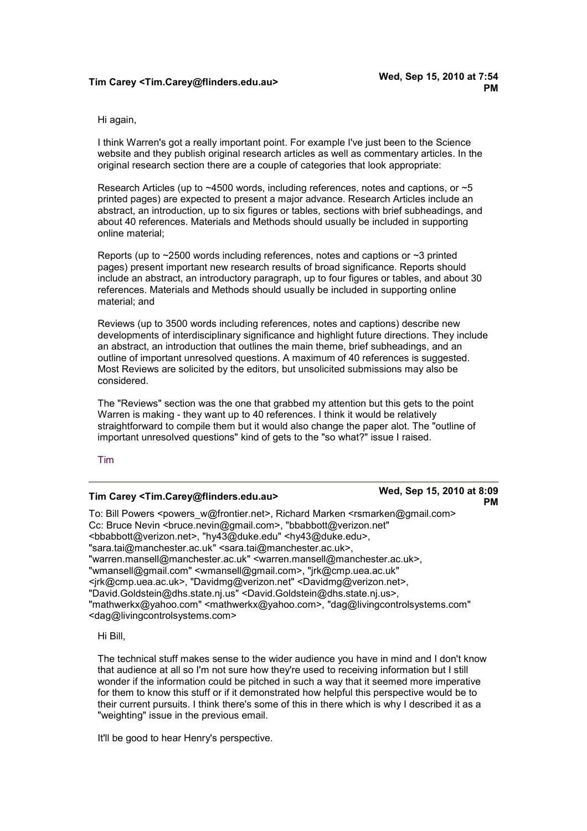## **Tim Carey <Tim.Carey@flinders.edu.au> Wed, Sep 15, 2010 at 7:54**

Hi again,

I think Warren's got a really important point. For example I've just been to the Science website and they publish original research articles as well as commentary articles. In the original research section there are a couple of categories that look appropriate:

Research Articles (up to ~4500 words, including references, notes and captions, or ~5 printed pages) are expected to present a major advance. Research Articles include an abstract, an introduction, up to six figures or tables, sections with brief subheadings, and about 40 references. Materials and Methods should usually be included in supporting online material;

Reports (up to  $\sim$ 2500 words including references, notes and captions or  $\sim$ 3 printed pages) present important new research results of broad significance. Reports should include an abstract, an introductory paragraph, up to four figures or tables, and about 30 references. Materials and Methods should usually be included in supporting online material; and

Reviews (up to 3500 words including references, notes and captions) describe new developments of interdisciplinary significance and highlight future directions. They include an abstract, an introduction that outlines the main theme, brief subheadings, and an outline of important unresolved questions. A maximum of 40 references is suggested. Most Reviews are solicited by the editors, but unsolicited submissions may also be considered.

The "Reviews" section was the one that grabbed my attention but this gets to the point Warren is making - they want up to 40 references. I think it would be relatively straightforward to compile them but it would also change the paper alot. The "outline of important unresolved questions" kind of gets to the "so what?" issue I raised.

#### Tim

## **Tim Carey <Tim.Carey@flinders.edu.au> Wed, Sep 15, 2010 at 8:09**

# **PM**

To: Bill Powers <powers\_w@frontier.net>, Richard Marken <rsmarken@gmail.com> Cc: Bruce Nevin <bruce.nevin@gmail.com>, "bbabbott@verizon.net" <bbabbott@verizon.net>, "hy43@duke.edu" <hy43@duke.edu>, "sara.tai@manchester.ac.uk" <sara.tai@manchester.ac.uk>, "warren.mansell@manchester.ac.uk" <warren.mansell@manchester.ac.uk>, "wmansell@gmail.com" <wmansell@gmail.com>, "jrk@cmp.uea.ac.uk" <jrk@cmp.uea.ac.uk>, "Davidmg@verizon.net" <Davidmg@verizon.net>, "David.Goldstein@dhs.state.nj.us" <David.Goldstein@dhs.state.nj.us>, "mathwerkx@yahoo.com" <mathwerkx@yahoo.com>, "dag@livingcontrolsystems.com" <dag@livingcontrolsystems.com>

Hi Bill,

The technical stuff makes sense to the wider audience you have in mind and I don't know that audience at all so I'm not sure how they're used to receiving information but I still wonder if the information could be pitched in such a way that it seemed more imperative for them to know this stuff or if it demonstrated how helpful this perspective would be to their current pursuits. I think there's some of this in there which is why I described it as a "weighting" issue in the previous email.

It'll be good to hear Henry's perspective.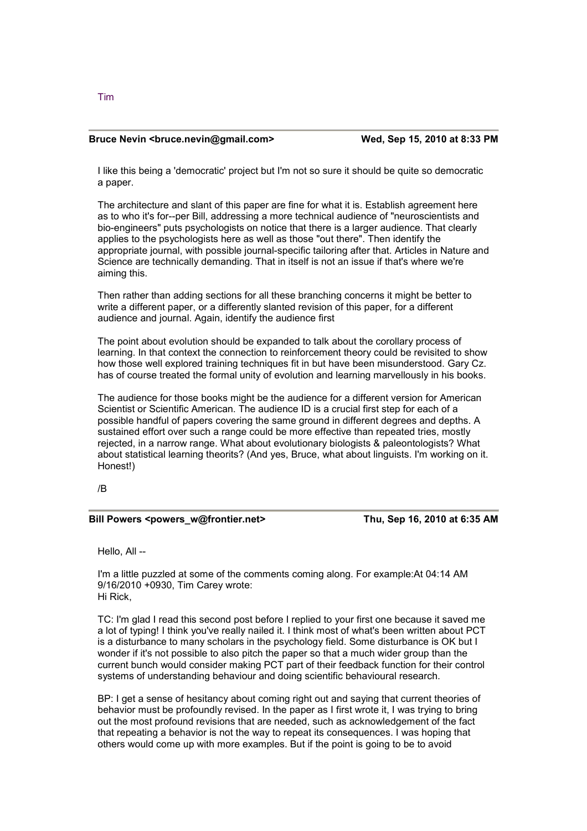#### **Bruce Nevin <br/>
<br/>
Compare 15, 2010 at 8:33 PM <br>
Wed, Sep 15, 2010 at 8:33 PM**

I like this being a 'democratic' project but I'm not so sure it should be quite so democratic a paper.

The architecture and slant of this paper are fine for what it is. Establish agreement here as to who it's for--per Bill, addressing a more technical audience of "neuroscientists and bio-engineers" puts psychologists on notice that there is a larger audience. That clearly applies to the psychologists here as well as those "out there". Then identify the appropriate journal, with possible journal-specific tailoring after that. Articles in Nature and Science are technically demanding. That in itself is not an issue if that's where we're aiming this.

Then rather than adding sections for all these branching concerns it might be better to write a different paper, or a differently slanted revision of this paper, for a different audience and journal. Again, identify the audience first

The point about evolution should be expanded to talk about the corollary process of learning. In that context the connection to reinforcement theory could be revisited to show how those well explored training techniques fit in but have been misunderstood. Gary Cz. has of course treated the formal unity of evolution and learning marvellously in his books.

The audience for those books might be the audience for a different version for American Scientist or Scientific American. The audience ID is a crucial first step for each of a possible handful of papers covering the same ground in different degrees and depths. A sustained effort over such a range could be more effective than repeated tries, mostly rejected, in a narrow range. What about evolutionary biologists & paleontologists? What about statistical learning theorits? (And yes, Bruce, what about linguists. I'm working on it. Honest!)

/B

#### Bill Powers <powers\_w@frontier.net> Thu, Sep 16, 2010 at 6:35 AM

Hello, All --

I'm a little puzzled at some of the comments coming along. For example:At 04:14 AM 9/16/2010 +0930, Tim Carey wrote: Hi Rick,

TC: I'm glad I read this second post before I replied to your first one because it saved me a lot of typing! I think you've really nailed it. I think most of what's been written about PCT is a disturbance to many scholars in the psychology field. Some disturbance is OK but I wonder if it's not possible to also pitch the paper so that a much wider group than the current bunch would consider making PCT part of their feedback function for their control systems of understanding behaviour and doing scientific behavioural research.

BP: I get a sense of hesitancy about coming right out and saying that current theories of behavior must be profoundly revised. In the paper as I first wrote it, I was trying to bring out the most profound revisions that are needed, such as acknowledgement of the fact that repeating a behavior is not the way to repeat its consequences. I was hoping that others would come up with more examples. But if the point is going to be to avoid

Tim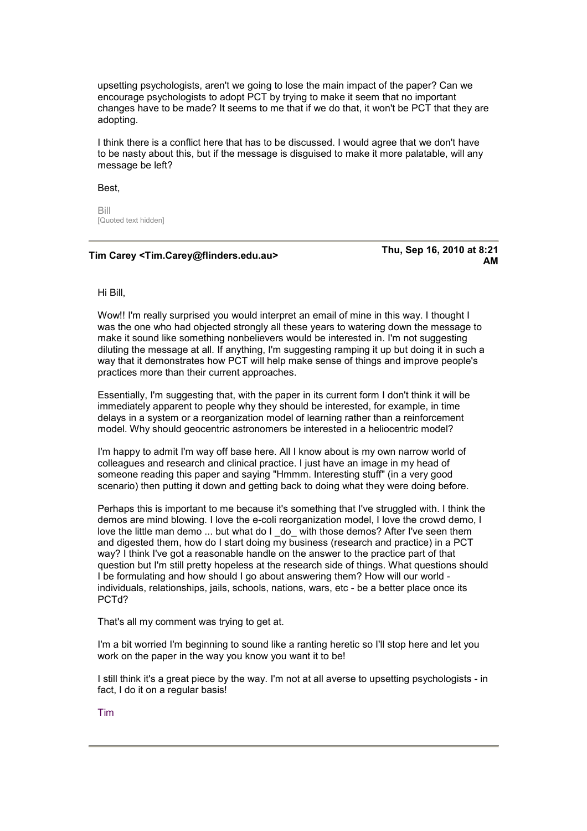upsetting psychologists, aren't we going to lose the main impact of the paper? Can we encourage psychologists to adopt PCT by trying to make it seem that no important changes have to be made? It seems to me that if we do that, it won't be PCT that they are adopting.

I think there is a conflict here that has to be discussed. I would agree that we don't have to be nasty about this, but if the message is disguised to make it more palatable, will any message be left?

Best,

Bill [Quoted text hidden]

## **Tim Carey <Tim.Carey@flinders.edu.au> Thu, Sep 16, 2010 at 8:21**

**AM** 

Hi Bill,

Wow!! I'm really surprised you would interpret an email of mine in this way. I thought I was the one who had objected strongly all these years to watering down the message to make it sound like something nonbelievers would be interested in. I'm not suggesting diluting the message at all. If anything, I'm suggesting ramping it up but doing it in such a way that it demonstrates how PCT will help make sense of things and improve people's practices more than their current approaches.

Essentially, I'm suggesting that, with the paper in its current form I don't think it will be immediately apparent to people why they should be interested, for example, in time delays in a system or a reorganization model of learning rather than a reinforcement model. Why should geocentric astronomers be interested in a heliocentric model?

I'm happy to admit I'm way off base here. All I know about is my own narrow world of colleagues and research and clinical practice. I just have an image in my head of someone reading this paper and saying "Hmmm. Interesting stuff" (in a very good scenario) then putting it down and getting back to doing what they were doing before.

Perhaps this is important to me because it's something that I've struggled with. I think the demos are mind blowing. I love the e-coli reorganization model, I love the crowd demo, I love the little man demo ... but what do I do with those demos? After I've seen them and digested them, how do I start doing my business (research and practice) in a PCT way? I think I've got a reasonable handle on the answer to the practice part of that question but I'm still pretty hopeless at the research side of things. What questions should I be formulating and how should I go about answering them? How will our world individuals, relationships, jails, schools, nations, wars, etc - be a better place once its PCTd?

That's all my comment was trying to get at.

I'm a bit worried I'm beginning to sound like a ranting heretic so I'll stop here and let you work on the paper in the way you know you want it to be!

I still think it's a great piece by the way. I'm not at all averse to upsetting psychologists - in fact, I do it on a regular basis!

Tim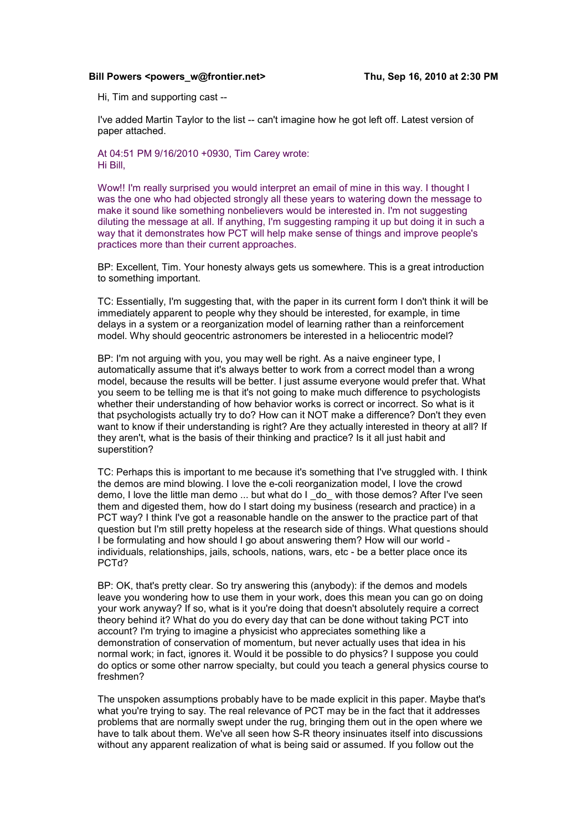#### Bill Powers <powers\_w@frontier.net> Thu, Sep 16, 2010 at 2:30 PM

Hi, Tim and supporting cast --

I've added Martin Taylor to the list -- can't imagine how he got left off. Latest version of paper attached.

At 04:51 PM 9/16/2010 +0930, Tim Carey wrote: Hi Bill,

Wow!! I'm really surprised you would interpret an email of mine in this way. I thought I was the one who had objected strongly all these years to watering down the message to make it sound like something nonbelievers would be interested in. I'm not suggesting diluting the message at all. If anything, I'm suggesting ramping it up but doing it in such a way that it demonstrates how PCT will help make sense of things and improve people's practices more than their current approaches.

BP: Excellent, Tim. Your honesty always gets us somewhere. This is a great introduction to something important.

TC: Essentially, I'm suggesting that, with the paper in its current form I don't think it will be immediately apparent to people why they should be interested, for example, in time delays in a system or a reorganization model of learning rather than a reinforcement model. Why should geocentric astronomers be interested in a heliocentric model?

BP: I'm not arguing with you, you may well be right. As a naive engineer type, I automatically assume that it's always better to work from a correct model than a wrong model, because the results will be better. I just assume everyone would prefer that. What you seem to be telling me is that it's not going to make much difference to psychologists whether their understanding of how behavior works is correct or incorrect. So what is it that psychologists actually try to do? How can it NOT make a difference? Don't they even want to know if their understanding is right? Are they actually interested in theory at all? If they aren't, what is the basis of their thinking and practice? Is it all just habit and superstition?

TC: Perhaps this is important to me because it's something that I've struggled with. I think the demos are mind blowing. I love the e-coli reorganization model, I love the crowd demo, I love the little man demo ... but what do I do with those demos? After I've seen them and digested them, how do I start doing my business (research and practice) in a PCT way? I think I've got a reasonable handle on the answer to the practice part of that question but I'm still pretty hopeless at the research side of things. What questions should I be formulating and how should I go about answering them? How will our world individuals, relationships, jails, schools, nations, wars, etc - be a better place once its PCTd?

BP: OK, that's pretty clear. So try answering this (anybody): if the demos and models leave you wondering how to use them in your work, does this mean you can go on doing your work anyway? If so, what is it you're doing that doesn't absolutely require a correct theory behind it? What do you do every day that can be done without taking PCT into account? I'm trying to imagine a physicist who appreciates something like a demonstration of conservation of momentum, but never actually uses that idea in his normal work; in fact, ignores it. Would it be possible to do physics? I suppose you could do optics or some other narrow specialty, but could you teach a general physics course to freshmen?

The unspoken assumptions probably have to be made explicit in this paper. Maybe that's what you're trying to say. The real relevance of PCT may be in the fact that it addresses problems that are normally swept under the rug, bringing them out in the open where we have to talk about them. We've all seen how S-R theory insinuates itself into discussions without any apparent realization of what is being said or assumed. If you follow out the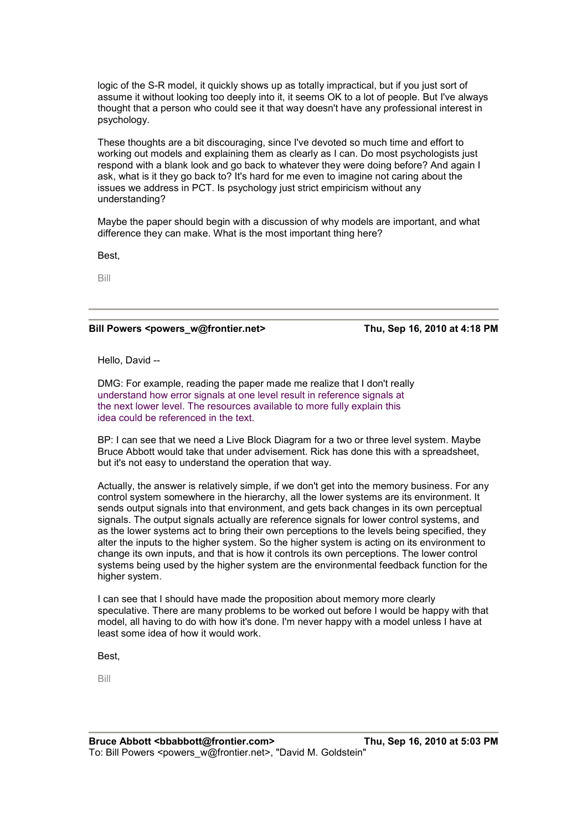logic of the S-R model, it quickly shows up as totally impractical, but if you just sort of assume it without looking too deeply into it, it seems OK to a lot of people. But I've always thought that a person who could see it that way doesn't have any professional interest in psychology.

These thoughts are a bit discouraging, since I've devoted so much time and effort to working out models and explaining them as clearly as I can. Do most psychologists just respond with a blank look and go back to whatever they were doing before? And again I ask, what is it they go back to? It's hard for me even to imagine not caring about the issues we address in PCT. Is psychology just strict empiricism without any understanding?

Maybe the paper should begin with a discussion of why models are important, and what difference they can make. What is the most important thing here?

Best,

Bill

### Bill Powers <powers\_w@frontier.net> Thu, Sep 16, 2010 at 4:18 PM

Hello, David --

DMG: For example, reading the paper made me realize that I don't really understand how error signals at one level result in reference signals at the next lower level. The resources available to more fully explain this idea could be referenced in the text.

BP: I can see that we need a Live Block Diagram for a two or three level system. Maybe Bruce Abbott would take that under advisement. Rick has done this with a spreadsheet, but it's not easy to understand the operation that way.

Actually, the answer is relatively simple, if we don't get into the memory business. For any control system somewhere in the hierarchy, all the lower systems are its environment. It sends output signals into that environment, and gets back changes in its own perceptual signals. The output signals actually are reference signals for lower control systems, and as the lower systems act to bring their own perceptions to the levels being specified, they alter the inputs to the higher system. So the higher system is acting on its environment to change its own inputs, and that is how it controls its own perceptions. The lower control systems being used by the higher system are the environmental feedback function for the higher system.

I can see that I should have made the proposition about memory more clearly speculative. There are many problems to be worked out before I would be happy with that model, all having to do with how it's done. I'm never happy with a model unless I have at least some idea of how it would work.

Best,

Bill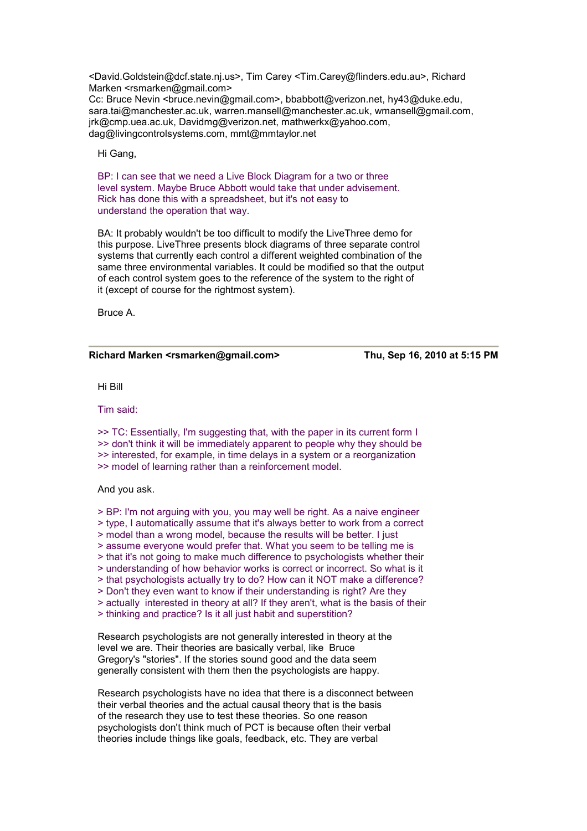<David.Goldstein@dcf.state.nj.us>, Tim Carey <Tim.Carey@flinders.edu.au>, Richard Marken <rsmarken@gmail.com>

Cc: Bruce Nevin <bruce.nevin@gmail.com>, bbabbott@verizon.net, hy43@duke.edu, sara.tai@manchester.ac.uk, warren.mansell@manchester.ac.uk, wmansell@gmail.com, jrk@cmp.uea.ac.uk, Davidmg@verizon.net, mathwerkx@yahoo.com, dag@livingcontrolsystems.com, mmt@mmtaylor.net

Hi Gang,

BP: I can see that we need a Live Block Diagram for a two or three level system. Maybe Bruce Abbott would take that under advisement. Rick has done this with a spreadsheet, but it's not easy to understand the operation that way.

BA: It probably wouldn't be too difficult to modify the LiveThree demo for this purpose. LiveThree presents block diagrams of three separate control systems that currently each control a different weighted combination of the same three environmental variables. It could be modified so that the output of each control system goes to the reference of the system to the right of it (except of course for the rightmost system).

Bruce A.

#### **Richard Marken <rsmarken@gmail.com> Thu, Sep 16, 2010 at 5:15 PM**

Hi Bill

Tim said:

>> TC: Essentially, I'm suggesting that, with the paper in its current form I >> don't think it will be immediately apparent to people why they should be >> interested, for example, in time delays in a system or a reorganization >> model of learning rather than a reinforcement model.

And you ask.

> BP: I'm not arguing with you, you may well be right. As a naive engineer > type, I automatically assume that it's always better to work from a correct

> model than a wrong model, because the results will be better. I just

> assume everyone would prefer that. What you seem to be telling me is

> that it's not going to make much difference to psychologists whether their

> understanding of how behavior works is correct or incorrect. So what is it

> that psychologists actually try to do? How can it NOT make a difference?

> Don't they even want to know if their understanding is right? Are they

> actually interested in theory at all? If they aren't, what is the basis of their

> thinking and practice? Is it all just habit and superstition?

Research psychologists are not generally interested in theory at the level we are. Their theories are basically verbal, like Bruce Gregory's "stories". If the stories sound good and the data seem generally consistent with them then the psychologists are happy.

Research psychologists have no idea that there is a disconnect between their verbal theories and the actual causal theory that is the basis of the research they use to test these theories. So one reason psychologists don't think much of PCT is because often their verbal theories include things like goals, feedback, etc. They are verbal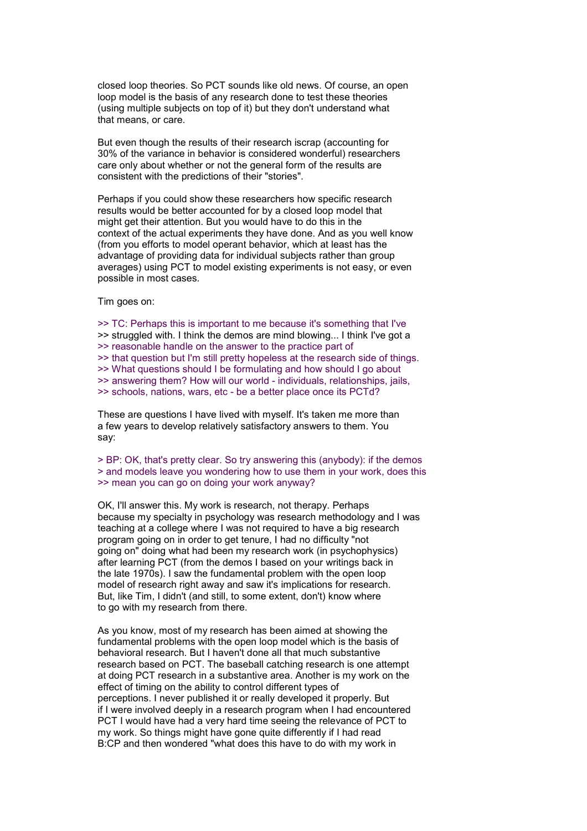closed loop theories. So PCT sounds like old news. Of course, an open loop model is the basis of any research done to test these theories (using multiple subjects on top of it) but they don't understand what that means, or care.

But even though the results of their research iscrap (accounting for 30% of the variance in behavior is considered wonderful) researchers care only about whether or not the general form of the results are consistent with the predictions of their "stories".

Perhaps if you could show these researchers how specific research results would be better accounted for by a closed loop model that might get their attention. But you would have to do this in the context of the actual experiments they have done. And as you well know (from you efforts to model operant behavior, which at least has the advantage of providing data for individual subjects rather than group averages) using PCT to model existing experiments is not easy, or even possible in most cases.

Tim goes on:

>> TC: Perhaps this is important to me because it's something that I've >> struggled with. I think the demos are mind blowing... I think I've got a >> reasonable handle on the answer to the practice part of >> that question but I'm still pretty hopeless at the research side of things. >> What questions should I be formulating and how should I go about >> answering them? How will our world - individuals, relationships, jails, >> schools, nations, wars, etc - be a better place once its PCTd?

These are questions I have lived with myself. It's taken me more than a few years to develop relatively satisfactory answers to them. You say:

> BP: OK, that's pretty clear. So try answering this (anybody): if the demos > and models leave you wondering how to use them in your work, does this >> mean you can go on doing your work anyway?

OK, I'll answer this. My work is research, not therapy. Perhaps because my specialty in psychology was research methodology and I was teaching at a college where I was not required to have a big research program going on in order to get tenure, I had no difficulty "not going on" doing what had been my research work (in psychophysics) after learning PCT (from the demos I based on your writings back in the late 1970s). I saw the fundamental problem with the open loop model of research right away and saw it's implications for research. But, like Tim, I didn't (and still, to some extent, don't) know where to go with my research from there.

As you know, most of my research has been aimed at showing the fundamental problems with the open loop model which is the basis of behavioral research. But I haven't done all that much substantive research based on PCT. The baseball catching research is one attempt at doing PCT research in a substantive area. Another is my work on the effect of timing on the ability to control different types of perceptions. I never published it or really developed it properly. But if I were involved deeply in a research program when I had encountered PCT I would have had a very hard time seeing the relevance of PCT to my work. So things might have gone quite differently if I had read B:CP and then wondered "what does this have to do with my work in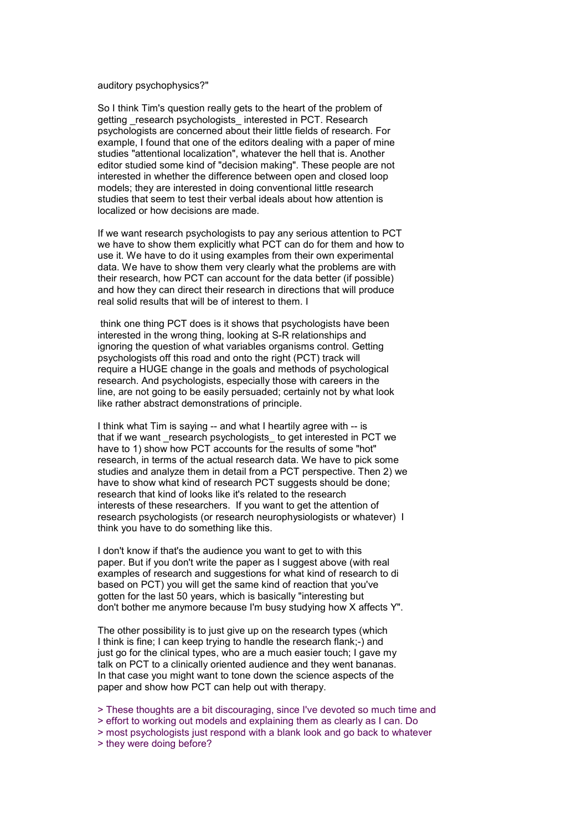#### auditory psychophysics?"

So I think Tim's question really gets to the heart of the problem of getting research psychologists interested in PCT. Research psychologists are concerned about their little fields of research. For example, I found that one of the editors dealing with a paper of mine studies "attentional localization", whatever the hell that is. Another editor studied some kind of "decision making". These people are not interested in whether the difference between open and closed loop models; they are interested in doing conventional little research studies that seem to test their verbal ideals about how attention is localized or how decisions are made.

If we want research psychologists to pay any serious attention to PCT we have to show them explicitly what PCT can do for them and how to use it. We have to do it using examples from their own experimental data. We have to show them very clearly what the problems are with their research, how PCT can account for the data better (if possible) and how they can direct their research in directions that will produce real solid results that will be of interest to them. I

 think one thing PCT does is it shows that psychologists have been interested in the wrong thing, looking at S-R relationships and ignoring the question of what variables organisms control. Getting psychologists off this road and onto the right (PCT) track will require a HUGE change in the goals and methods of psychological research. And psychologists, especially those with careers in the line, are not going to be easily persuaded; certainly not by what look like rather abstract demonstrations of principle.

I think what Tim is saying -- and what I heartily agree with -- is that if we want research psychologists to get interested in PCT we have to 1) show how PCT accounts for the results of some "hot" research, in terms of the actual research data. We have to pick some studies and analyze them in detail from a PCT perspective. Then 2) we have to show what kind of research PCT suggests should be done: research that kind of looks like it's related to the research interests of these researchers. If you want to get the attention of research psychologists (or research neurophysiologists or whatever) I think you have to do something like this.

I don't know if that's the audience you want to get to with this paper. But if you don't write the paper as I suggest above (with real examples of research and suggestions for what kind of research to di based on PCT) you will get the same kind of reaction that you've gotten for the last 50 years, which is basically "interesting but don't bother me anymore because I'm busy studying how X affects Y".

The other possibility is to just give up on the research types (which I think is fine; I can keep trying to handle the research flank;-) and just go for the clinical types, who are a much easier touch; I gave my talk on PCT to a clinically oriented audience and they went bananas. In that case you might want to tone down the science aspects of the paper and show how PCT can help out with therapy.

> These thoughts are a bit discouraging, since I've devoted so much time and

> effort to working out models and explaining them as clearly as I can. Do

> most psychologists just respond with a blank look and go back to whatever

> they were doing before?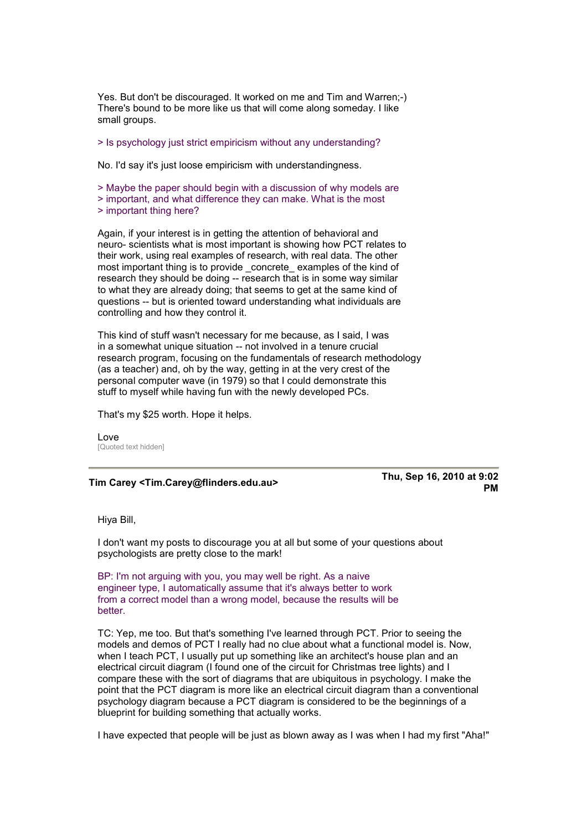Yes. But don't be discouraged. It worked on me and Tim and Warren;-) There's bound to be more like us that will come along someday. I like small groups.

> Is psychology just strict empiricism without any understanding?

No. I'd say it's just loose empiricism with understandingness.

> Maybe the paper should begin with a discussion of why models are

> important, and what difference they can make. What is the most

> important thing here?

Again, if your interest is in getting the attention of behavioral and neuro- scientists what is most important is showing how PCT relates to their work, using real examples of research, with real data. The other most important thing is to provide concrete examples of the kind of research they should be doing -- research that is in some way similar to what they are already doing; that seems to get at the same kind of questions -- but is oriented toward understanding what individuals are controlling and how they control it.

This kind of stuff wasn't necessary for me because, as I said, I was in a somewhat unique situation -- not involved in a tenure crucial research program, focusing on the fundamentals of research methodology (as a teacher) and, oh by the way, getting in at the very crest of the personal computer wave (in 1979) so that I could demonstrate this stuff to myself while having fun with the newly developed PCs.

That's my \$25 worth. Hope it helps.

Love [Quoted text hidden]

**Tim Carey <Tim.Carey@flinders.edu.au> Thu, Sep 16, 2010 at 9:02 PM** 

Hiya Bill,

I don't want my posts to discourage you at all but some of your questions about psychologists are pretty close to the mark!

BP: I'm not arguing with you, you may well be right. As a naive engineer type, I automatically assume that it's always better to work from a correct model than a wrong model, because the results will be better.

TC: Yep, me too. But that's something I've learned through PCT. Prior to seeing the models and demos of PCT I really had no clue about what a functional model is. Now, when I teach PCT, I usually put up something like an architect's house plan and an electrical circuit diagram (I found one of the circuit for Christmas tree lights) and I compare these with the sort of diagrams that are ubiquitous in psychology. I make the point that the PCT diagram is more like an electrical circuit diagram than a conventional psychology diagram because a PCT diagram is considered to be the beginnings of a blueprint for building something that actually works.

I have expected that people will be just as blown away as I was when I had my first "Aha!"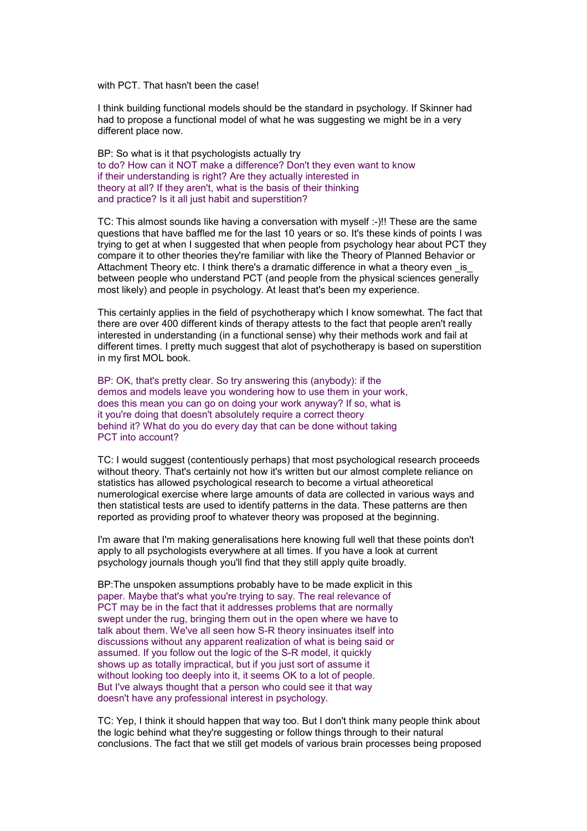with PCT. That hasn't been the case!

I think building functional models should be the standard in psychology. If Skinner had had to propose a functional model of what he was suggesting we might be in a very different place now.

BP: So what is it that psychologists actually try to do? How can it NOT make a difference? Don't they even want to know if their understanding is right? Are they actually interested in theory at all? If they aren't, what is the basis of their thinking and practice? Is it all just habit and superstition?

TC: This almost sounds like having a conversation with myself :-)!! These are the same questions that have baffled me for the last 10 years or so. It's these kinds of points I was trying to get at when I suggested that when people from psychology hear about PCT they compare it to other theories they're familiar with like the Theory of Planned Behavior or Attachment Theory etc. I think there's a dramatic difference in what a theory even is between people who understand PCT (and people from the physical sciences generally most likely) and people in psychology. At least that's been my experience.

This certainly applies in the field of psychotherapy which I know somewhat. The fact that there are over 400 different kinds of therapy attests to the fact that people aren't really interested in understanding (in a functional sense) why their methods work and fail at different times. I pretty much suggest that alot of psychotherapy is based on superstition in my first MOL book.

BP: OK, that's pretty clear. So try answering this (anybody): if the demos and models leave you wondering how to use them in your work, does this mean you can go on doing your work anyway? If so, what is it you're doing that doesn't absolutely require a correct theory behind it? What do you do every day that can be done without taking PCT into account?

TC: I would suggest (contentiously perhaps) that most psychological research proceeds without theory. That's certainly not how it's written but our almost complete reliance on statistics has allowed psychological research to become a virtual atheoretical numerological exercise where large amounts of data are collected in various ways and then statistical tests are used to identify patterns in the data. These patterns are then reported as providing proof to whatever theory was proposed at the beginning.

I'm aware that I'm making generalisations here knowing full well that these points don't apply to all psychologists everywhere at all times. If you have a look at current psychology journals though you'll find that they still apply quite broadly.

BP:The unspoken assumptions probably have to be made explicit in this paper. Maybe that's what you're trying to say. The real relevance of PCT may be in the fact that it addresses problems that are normally swept under the rug, bringing them out in the open where we have to talk about them. We've all seen how S-R theory insinuates itself into discussions without any apparent realization of what is being said or assumed. If you follow out the logic of the S-R model, it quickly shows up as totally impractical, but if you just sort of assume it without looking too deeply into it, it seems OK to a lot of people. But I've always thought that a person who could see it that way doesn't have any professional interest in psychology.

TC: Yep, I think it should happen that way too. But I don't think many people think about the logic behind what they're suggesting or follow things through to their natural conclusions. The fact that we still get models of various brain processes being proposed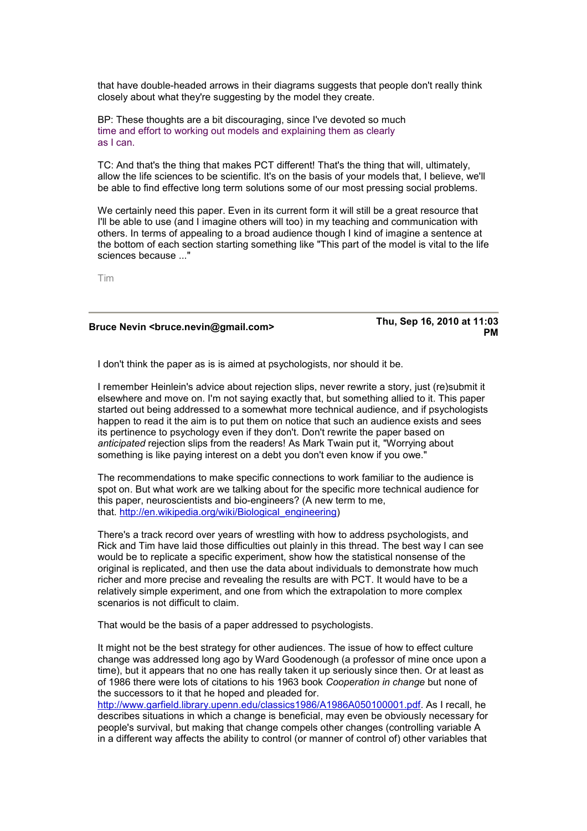that have double-headed arrows in their diagrams suggests that people don't really think closely about what they're suggesting by the model they create.

BP: These thoughts are a bit discouraging, since I've devoted so much time and effort to working out models and explaining them as clearly as I can.

TC: [And that's the thing that makes PCT different! Tha](http://en.wikipedia.org/wiki/Biological_engineering)t's the thing that will, ultimately, allow the life sciences to be scientific. It's on the basis of your models that, I believe, we'll be able to find effective long term solutions some of our most pressing social problems.

We certainly need this paper. Even in its current form it will still be a great resource that I'll be able to use (and I imagine others will too) in my teaching and communication with others. In terms of appealing to a broad audience though I kind of imagine a sentence at the bottom of each section starting something like "This part of the model is vital to the life sciences because ..."

Tim

## **Bruce Nevin <bruce.nevin@gmail.com> Thu, Sep 16, 2010 at 11:03**

**PM** 

[I don](http://www.garfield.library.upenn.edu/classics1986/A1986A050100001.pdf)'[t think the paper as is is aimed at psychologists, nor should it be.](http://www.garfield.library.upenn.edu/classics1986/A1986A050100001.pdf) 

I remember Heinlein's advice about rejection slips, never rewrite a story, just (re)submit it elsewhere and move on. I'm not saying exactly that, but something allied to it. This paper started out being addressed to a somewhat more technical audience, and if psychologists happen to read it the aim is to put them on notice that such an audience exists and sees its pertinence to psychology even if they don't. Don't rewrite the paper based on *anticipated* rejection slips from the readers! As Mark Twain put it, "Worrying about something is like paying interest on a debt you don't even know if you owe."

The recommendations to make specific connections to work familiar to the audience is spot on. But what work are we talking about for the specific more technical audience for this paper, neuroscientists and bio-engineers? (A new term to me, that. http://en.wikipedia.org/wiki/Biological\_engineering)

There's a track record over years of wrestling with how to address psychologists, and Rick and Tim have laid those difficulties out plainly in this thread. The best way I can see would be to replicate a specific experiment, show how the statistical nonsense of the original is replicated, and then use the data about individuals to demonstrate how much richer and more precise and revealing the results are with PCT. It would have to be a relatively simple experiment, and one from which the extrapolation to more complex scenarios is not difficult to claim.

That would be the basis of a paper addressed to psychologists.

It might not be the best strategy for other audiences. The issue of how to effect culture change was addressed long ago by Ward Goodenough (a professor of mine once upon a time), but it appears that no one has really taken it up seriously since then. Or at least as of 1986 there were lots of citations to his 1963 book *Cooperation in change* but none of the successors to it that he hoped and pleaded for.

http://www.garfield.library.upenn.edu/classics1986/A1986A050100001.pdf. As I recall, he describes situations in which a change is beneficial, may even be obviously necessary for people's survival, but making that change compels other changes (controlling variable A in a different way affects the ability to control (or manner of control of) other variables that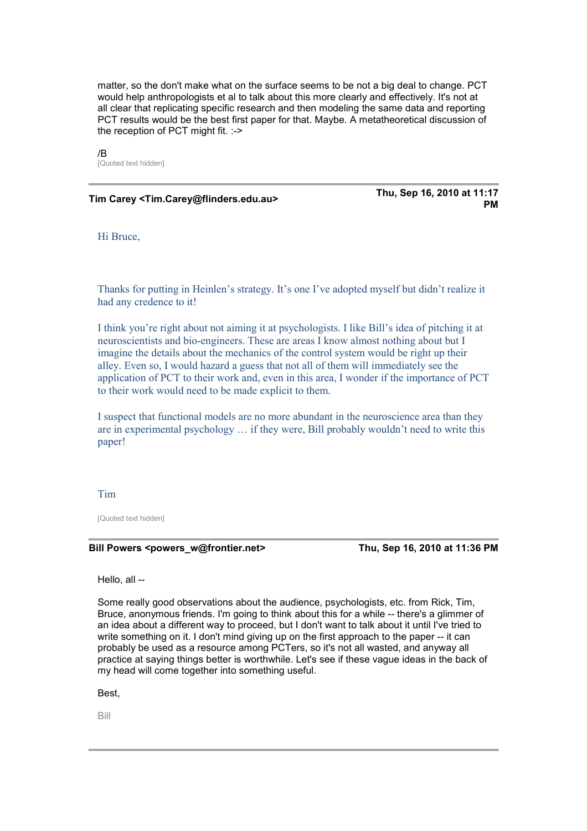matter, so the don't make what on the surface seems to be not a big deal to change. PCT would help anthropologists et al to talk about this more clearly and effectively. It's not at all clear that replicating specific research and then modeling the same data and reporting PCT results would be the best first paper for that. Maybe. A metatheoretical discussion of the reception of PCT might fit. :->

/B [Quoted text hidden]

**Tim Carey <Tim.Carey@flinders.edu.au> Thu, Sep 16, 2010 at 11:17** 

**PM** 

Hi Bruce,

Thanks for putting in Heinlen's strategy. It's one I've adopted myself but didn't realize it had any credence to it!

I think you're right about not aiming it at psychologists. I like Bill's idea of pitching it at neuroscientists and bio-engineers. These are areas I know almost nothing about but I imagine the details about the mechanics of the control system would be right up their alley. Even so, I would hazard a guess that not all of them will immediately see the application of PCT to their work and, even in this area, I wonder if the importance of PCT to their work would need to be made explicit to them.

I suspect that functional models are no more abundant in the neuroscience area than they are in experimental psychology … if they were, Bill probably wouldn't need to write this paper!

#### Tim

[Quoted text hidden]

#### **Bill Powers <powers\_w@frontier.net>** Thu, Sep 16, 2010 at 11:36 PM

Hello, all --

Some really good observations about the audience, psychologists, etc. from Rick, Tim, Bruce, anonymous friends. I'm going to think about this for a while -- there's a glimmer of an idea about a different way to proceed, but I don't want to talk about it until I've tried to write something on it. I don't mind giving up on the first approach to the paper -- it can probably be used as a resource among PCTers, so it's not all wasted, and anyway all practice at saying things better is worthwhile. Let's see if these vague ideas in the back of my head will come together into something useful.

Best,

Bill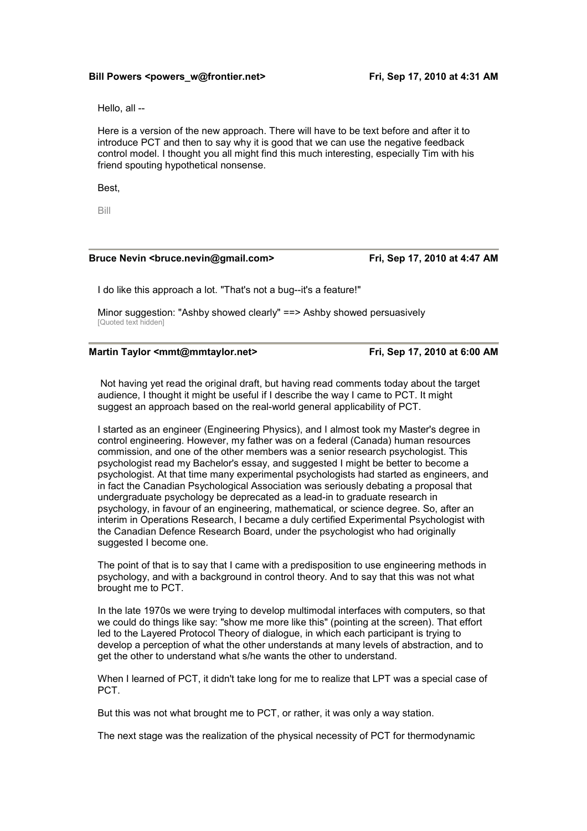#### Bill Powers <powers\_w@frontier.net> Fri, Sep 17, 2010 at 4:31 AM

Hello, all --

Here is a version of the new approach. There will have to be text before and after it to introduce PCT and then to say why it is good that we can use the negative feedback control model. I thought you all might find this much interesting, especially Tim with his friend spouting hypothetical nonsense.

Best,

Bill

#### Bruce Nevin <br/>bruce.nevin@gmail.com> Fri, Sep 17, 2010 at 4:47 AM

I do like this approach a lot. "That's not a bug--it's a feature!"

Minor suggestion: "Ashby showed clearly" ==> Ashby showed persuasively [Quoted text hidden]

#### **Martin Taylor <mmt@mmtaylor.net> Fri, Sep 17, 2010 at 6:00 AM**

 Not having yet read the original draft, but having read comments today about the target audience, I thought it might be useful if I describe the way I came to PCT. It might suggest an approach based on the real-world general applicability of PCT.

I started as an engineer (Engineering Physics), and I almost took my Master's degree in control engineering. However, my father was on a federal (Canada) human resources commission, and one of the other members was a senior research psychologist. This psychologist read my Bachelor's essay, and suggested I might be better to become a psychologist. At that time many experimental psychologists had started as engineers, and in fact the Canadian Psychological Association was seriously debating a proposal that undergraduate psychology be deprecated as a lead-in to graduate research in psychology, in favour of an engineering, mathematical, or science degree. So, after an interim in Operations Research, I became a duly certified Experimental Psychologist with the Canadian Defence Research Board, under the psychologist who had originally suggested I become one.

The point of that is to say that I came with a predisposition to use engineering methods in psychology, and with a background in control theory. And to say that this was not what brought me to PCT.

In the late 1970s we were trying to develop multimodal interfaces with computers, so that we could do things like say: "show me more like this" (pointing at the screen). That effort led to the Layered Protocol Theory of dialogue, in which each participant is trying to develop a perception of what the other understands at many levels of abstraction, and to get the other to understand what s/he wants the other to understand.

When I learned of PCT, it didn't take long for me to realize that LPT was a special case of PCT.

But this was not what brought me to PCT, or rather, it was only a way station.

The next stage was the realization of the physical necessity of PCT for thermodynamic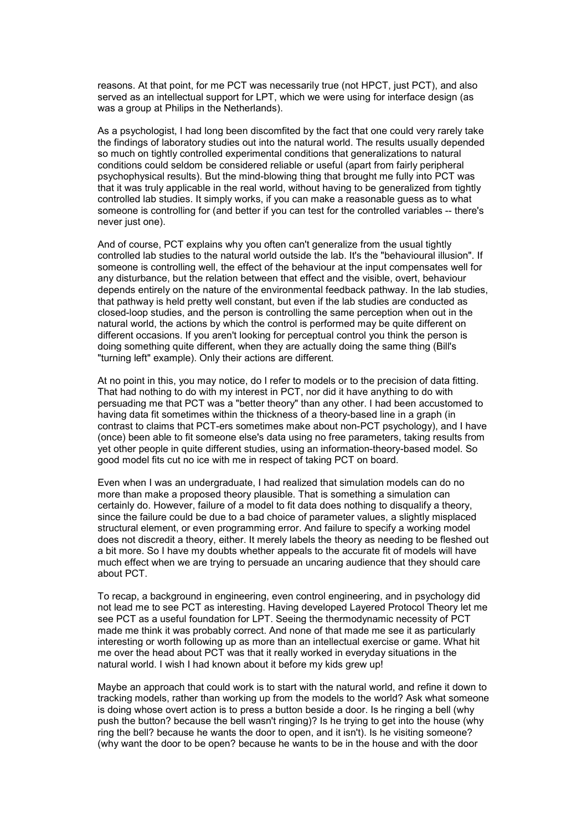reasons. At that point, for me PCT was necessarily true (not HPCT, just PCT), and also served as an intellectual support for LPT, which we were using for interface design (as was a group at Philips in the Netherlands).

As a psychologist, I had long been discomfited by the fact that one could very rarely take the findings of laboratory studies out into the natural world. The results usually depended so much on tightly controlled experimental conditions that generalizations to natural conditions could seldom be considered reliable or useful (apart from fairly peripheral psychophysical results). But the mind-blowing thing that brought me fully into PCT was that it was truly applicable in the real world, without having to be generalized from tightly controlled lab studies. It simply works, if you can make a reasonable guess as to what someone is controlling for (and better if you can test for the controlled variables -- there's never just one).

And of course, PCT explains why you often can't generalize from the usual tightly controlled lab studies to the natural world outside the lab. It's the "behavioural illusion". If someone is controlling well, the effect of the behaviour at the input compensates well for any disturbance, but the relation between that effect and the visible, overt, behaviour depends entirely on the nature of the environmental feedback pathway. In the lab studies, that pathway is held pretty well constant, but even if the lab studies are conducted as closed-loop studies, and the person is controlling the same perception when out in the natural world, the actions by which the control is performed may be quite different on different occasions. If you aren't looking for perceptual control you think the person is doing something quite different, when they are actually doing the same thing (Bill's "turning left" example). Only their actions are different.

At no point in this, you may notice, do I refer to models or to the precision of data fitting. That had nothing to do with my interest in PCT, nor did it have anything to do with persuading me that PCT was a "better theory" than any other. I had been accustomed to having data fit sometimes within the thickness of a theory-based line in a graph (in contrast to claims that PCT-ers sometimes make about non-PCT psychology), and I have (once) been able to fit someone else's data using no free parameters, taking results from yet other people in quite different studies, using an information-theory-based model. So good model fits cut no ice with me in respect of taking PCT on board.

Even when I was an undergraduate, I had realized that simulation models can do no more than make a proposed theory plausible. That is something a simulation can certainly do. However, failure of a model to fit data does nothing to disqualify a theory, since the failure could be due to a bad choice of parameter values, a slightly misplaced structural element, or even programming error. And failure to specify a working model does not discredit a theory, either. It merely labels the theory as needing to be fleshed out a bit more. So I have my doubts whether appeals to the accurate fit of models will have much effect when we are trying to persuade an uncaring audience that they should care about PCT.

To recap, a background in engineering, even control engineering, and in psychology did not lead me to see PCT as interesting. Having developed Layered Protocol Theory let me see PCT as a useful foundation for LPT. Seeing the thermodynamic necessity of PCT made me think it was probably correct. And none of that made me see it as particularly interesting or worth following up as more than an intellectual exercise or game. What hit me over the head about PCT was that it really worked in everyday situations in the natural world. I wish I had known about it before my kids grew up!

Maybe an approach that could work is to start with the natural world, and refine it down to tracking models, rather than working up from the models to the world? Ask what someone is doing whose overt action is to press a button beside a door. Is he ringing a bell (why push the button? because the bell wasn't ringing)? Is he trying to get into the house (why ring the bell? because he wants the door to open, and it isn't). Is he visiting someone? (why want the door to be open? because he wants to be in the house and with the door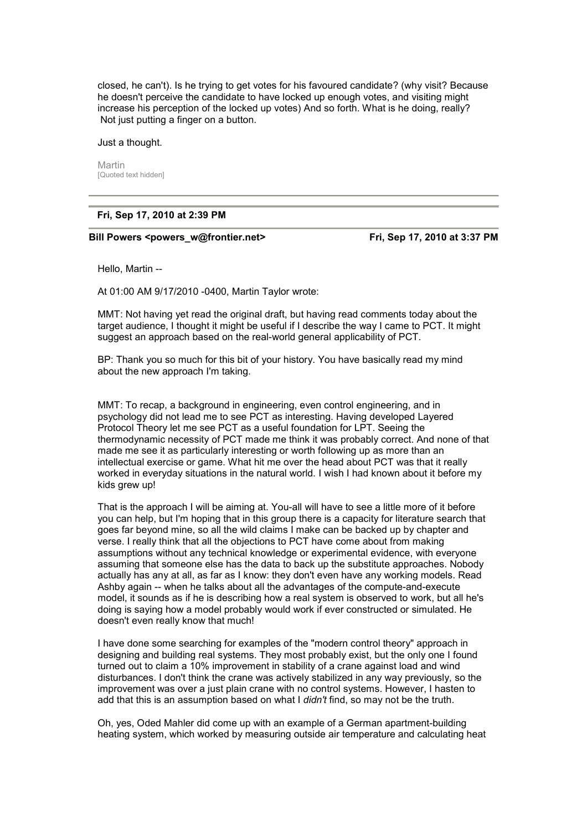closed, he can't). Is he trying to get votes for his favoured candidate? (why visit? Because he doesn't perceive the candidate to have locked up enough votes, and visiting might increase his perception of the locked up votes) And so forth. What is he doing, really? Not just putting a finger on a button.

Just a thought.

Martin [Quoted text hidden]

#### **Fri, Sep 17, 2010 at 2:39 PM**

Bill Powers <powers w@frontier.net> Fri, Sep 17, 2010 at 3:37 PM

Hello, Martin --

At 01:00 AM 9/17/2010 -0400, Martin Taylor wrote:

MMT: Not having yet read the original draft, but having read comments today about the target audience, I thought it might be useful if I describe the way I came to PCT. It might suggest an approach based on the real-world general applicability of PCT.

BP: Thank you so much for this bit of your history. You have basically read my mind about the new approach I'm taking.

MMT: To recap, a background in engineering, even control engineering, and in psychology did not lead me to see PCT as interesting. Having developed Layered Protocol Theory let me see PCT as a useful foundation for LPT. Seeing the thermodynamic necessity of PCT made me think it was probably correct. And none of that made me see it as particularly interesting or worth following up as more than an intellectual exercise or game. What hit me over the head about PCT was that it really worked in everyday situations in the natural world. I wish I had known about it before my kids grew up!

That is the approach I will be aiming at. You-all will have to see a little more of it before you can help, but I'm hoping that in this group there is a capacity for literature search that goes far beyond mine, so all the wild claims I make can be backed up by chapter and verse. I really think that all the objections to PCT have come about from making assumptions without any technical knowledge or experimental evidence, with everyone assuming that someone else has the data to back up the substitute approaches. Nobody actually has any at all, as far as I know: they don't even have any working models. Read Ashby again -- when he talks about all the advantages of the compute-and-execute model, it sounds as if he is describing how a real system is observed to work, but all he's doing is saying how a model probably would work if ever constructed or simulated. He doesn't even really know that much!

I have done some searching for examples of the "modern control theory" approach in designing and building real systems. They most probably exist, but the only one I found turned out to claim a 10% improvement in stability of a crane against load and wind disturbances. I don't think the crane was actively stabilized in any way previously, so the improvement was over a just plain crane with no control systems. However, I hasten to add that this is an assumption based on what I *didn't* find, so may not be the truth.

Oh, yes, Oded Mahler did come up with an example of a German apartment-building heating system, which worked by measuring outside air temperature and calculating heat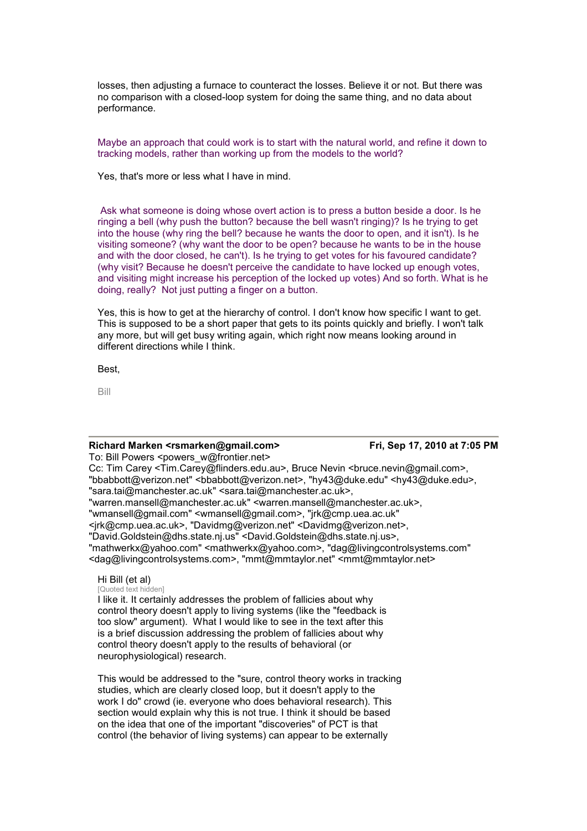losses, then adjusting a furnace to counteract the losses. Believe it or not. But there was no comparison with a closed-loop system for doing the same thing, and no data about performance.

Maybe an approach that could work is to start with the natural world, and refine it down to tracking models, rather than working up from the models to the world?

Yes, that's more or less what I have in mind.

 Ask what someone is doing whose overt action is to press a button beside a door. Is he ringing a bell (why push the button? because the bell wasn't ringing)? Is he trying to get into the house (why ring the bell? because he wants the door to open, and it isn't). Is he visiting someone? (why want the door to be open? because he wants to be in the house and with the door closed, he can't). Is he trying to get votes for his favoured candidate? (why visit? Because he doesn't perceive the candidate to have locked up enough votes, and visiting might increase his perception of the locked up votes) And so forth. What is he doing, really? Not just putting a finger on a button.

Yes, this is how to get at the hierarchy of control. I don't know how specific I want to get. This is supposed to be a short paper that gets to its points quickly and briefly. I won't talk any more, but will get busy writing again, which right now means looking around in different directions while I think.

Best,

Bill

#### **Richard Marken <rsmarken@gmail.com> Fri, Sep 17, 2010 at 7:05 PM**

To: Bill Powers <powers\_w@frontier.net> Cc: Tim Carey <Tim.Carey@flinders.edu.au>, Bruce Nevin <bruce.nevin@gmail.com>, "bbabbott@verizon.net" <bbabbott@verizon.net>, "hy43@duke.edu" <hy43@duke.edu>, "sara.tai@manchester.ac.uk" <sara.tai@manchester.ac.uk>, "warren.mansell@manchester.ac.uk" <warren.mansell@manchester.ac.uk>, "wmansell@gmail.com" <wmansell@gmail.com>, "jrk@cmp.uea.ac.uk" <jrk@cmp.uea.ac.uk>, "Davidmg@verizon.net" <Davidmg@verizon.net>, "David.Goldstein@dhs.state.nj.us" <David.Goldstein@dhs.state.nj.us>, "mathwerkx@yahoo.com" <mathwerkx@yahoo.com>, "dag@livingcontrolsystems.com" <dag@livingcontrolsystems.com>, "mmt@mmtaylor.net" <mmt@mmtaylor.net>

### Hi Bill (et al)

[Quoted text hidden]

I like it. It certainly addresses the problem of fallicies about why control theory doesn't apply to living systems (like the "feedback is too slow" argument). What I would like to see in the text after this is a brief discussion addressing the problem of fallicies about why control theory doesn't apply to the results of behavioral (or neurophysiological) research.

This would be addressed to the "sure, control theory works in tracking studies, which are clearly closed loop, but it doesn't apply to the work I do" crowd (ie. everyone who does behavioral research). This section would explain why this is not true. I think it should be based on the idea that one of the important "discoveries" of PCT is that control (the behavior of living systems) can appear to be externally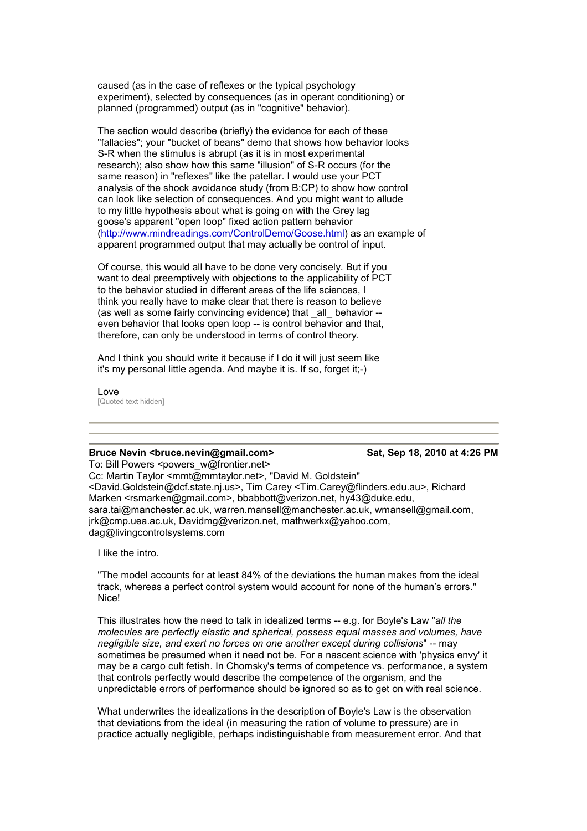caused (as in the case of reflexes or the typical psychology experiment), selected by consequences (as in operant conditioning) or planned (programmed) output (as in "cognitive" behavior).

The section would describe (briefly) the evidence for each of these "fallacies"; your "bucket of beans" demo that shows how behavior looks S-R when the stimulus is abrupt (as it is in most experimental [research\); also show how this same "illusion" of S-R occ](http://www.mindreadings.com/ControlDemo/Goose.html)urs (for the same reason) in "reflexes" like the patellar. I would use your PCT analysis of the shock avoidance study (from B:CP) to show how control can look like selection of consequences. And you might want to allude to my little hypothesis about what is going on with the Grey lag goose's apparent "open loop" fixed action pattern behavior (http://www.mindreadings.com/ControlDemo/Goose.html) as an example of apparent programmed output that may actually be control of input.

Of course, this would all have to be done very concisely. But if you want to deal preemptively with objections to the applicability of PCT to the behavior studied in different areas of the life sciences, I think you really have to make clear that there is reason to believe (as well as some fairly convincing evidence) that all behavior -even behavior that looks open loop -- is control behavior and that, therefore, can only be understood in terms of control theory.

And I think you should write it because if I do it will just seem like it's my personal little agenda. And maybe it is. If so, forget it;-)

Love [Quoted text hidden]

### **Bruce Nevin <br/>
<br/>
<br/>
<br/>
Sat, Sep 18, 2010 at 4:26 PM <br>
Sat, Sep 18, 2010 at 4:26 PM**

To: Bill Powers <powers\_w@frontier.net> Cc: Martin Taylor <mmt@mmtaylor.net>, "David M. Goldstein" <David.Goldstein@dcf.state.nj.us>, Tim Carey <Tim.Carey@flinders.edu.au>, Richard Marken <rsmarken@gmail.com>, bbabbott@verizon.net, hy43@duke.edu, sara.tai@manchester.ac.uk, warren.mansell@manchester.ac.uk, wmansell@gmail.com, jrk@cmp.uea.ac.uk, Davidmg@verizon.net, mathwerkx@yahoo.com, dag@livingcontrolsystems.com

I like the intro.

"The model accounts for at least 84% of the deviations the human makes from the ideal track, whereas a perfect control system would account for none of the human's errors." Nice!

This illustrates how the need to talk in idealized terms -- e.g. for Boyle's Law "*all the molecules are perfectly elastic and spherical, possess equal masses and volumes, have negligible size, and exert no forces on one another except during collisions*" -- may sometimes be presumed when it need not be. For a nascent science with 'physics envy' it may be a cargo cult fetish. In Chomsky's terms of competence vs. performance, a system that controls perfectly would describe the competence of the organism, and the unpredictable errors of performance should be ignored so as to get on with real science.

What underwrites the idealizations in the description of Boyle's Law is the observation that deviations from the ideal (in measuring the ration of volume to pressure) are in practice actually negligible, perhaps indistinguishable from measurement error. And that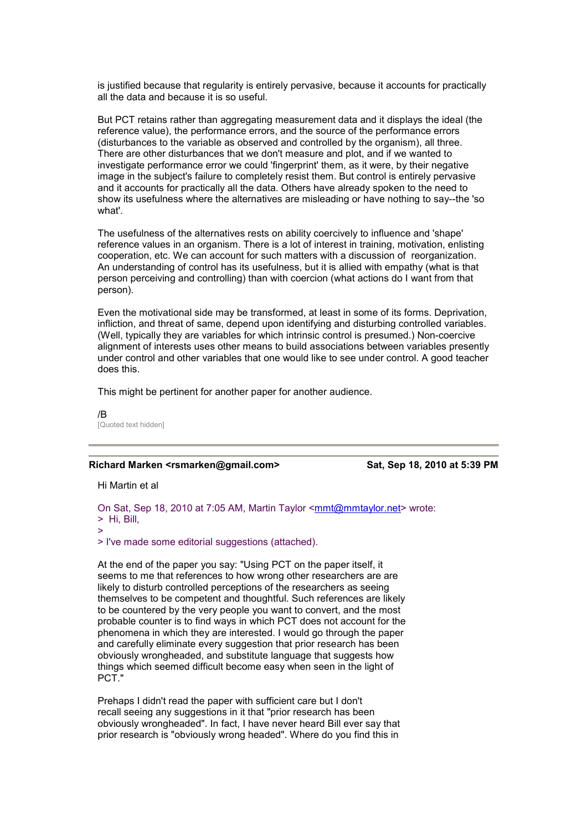is justified because that regularity is entirely pervasive, because it accounts for practically all the data and because it is so useful.

But PCT retains rather than aggregating measurement data and it displays the ideal (the reference value), the performance errors, and the source of the performance errors (disturbances to the variable as observed and controlled by the organism), all three. There are other disturbances that we don't measure and plot, and if we wanted to investigate performance error we could 'fingerprint' them, as it were, by their negative image in the subject's failure to completely resist them. But control is entirely pervasive and it accounts for practically all the data. Others have already spoken to the need to show its usefulness where the alternatives are misleading or have nothing to say--the 'so what'.

The usefulness of the alternatives rests on ability coercively to influence and 'shape' reference values in an organism. There is a lot of interest in training, motivation, enlisting cooperation, etc. We can account for such matters with a discussion of reorganization. An understanding of control has its usefulness, but it is allied with empathy (what is that person perceiving and controlling) than with coercion (what actions do I want from that person).

Even the motivational side may be transformed, at least in some of its forms. Deprivation, infliction, and threat of same, depend upon identifying and disturbing controlled variables. (Well, typically they are variables for which intrinsic control is presumed.) Non-coercive alignment of interests uses other means to build associations between variables presently under control and other variables that one would like to see under control. A good teacher does this.

This might be pertinent for another paper for another audience.

/B [Quoted text hidden]

#### **Richard Marken <rsmarken@gmail.com> Sat, Sep 18, 2010 at 5:39 PM**

Hi Martin et al

On Sat, Sep 18, 2010 at 7:05 AM, Martin Taylor <mmt@mmtaylor.net> wrote: > Hi, Bill, >

> I've made some editorial suggestions (attached).

At the end of the paper you say: "Using PCT on the paper itself, it seems to me that references to how wrong other researchers are are likely to disturb controlled perceptions of the researchers as seeing themselves to be competent and thoughtful. Such references are likely to be countered by the very people you want to convert, and the most probable counter is to find ways in which PCT does not account for the phenomena in which they are interested. I would go through the paper and carefully eliminate every suggestion that prior research has been obviously wrongheaded, and substitute language that suggests how things which seemed difficult become easy when seen in the light of PCT."

Prehaps I didn't read the paper with sufficient care but I don't recall seeing any suggestions in it that "prior research has been obviously wrongheaded". In fact, I have never heard Bill ever say that prior research is "obviously wrong headed". Where do you find this in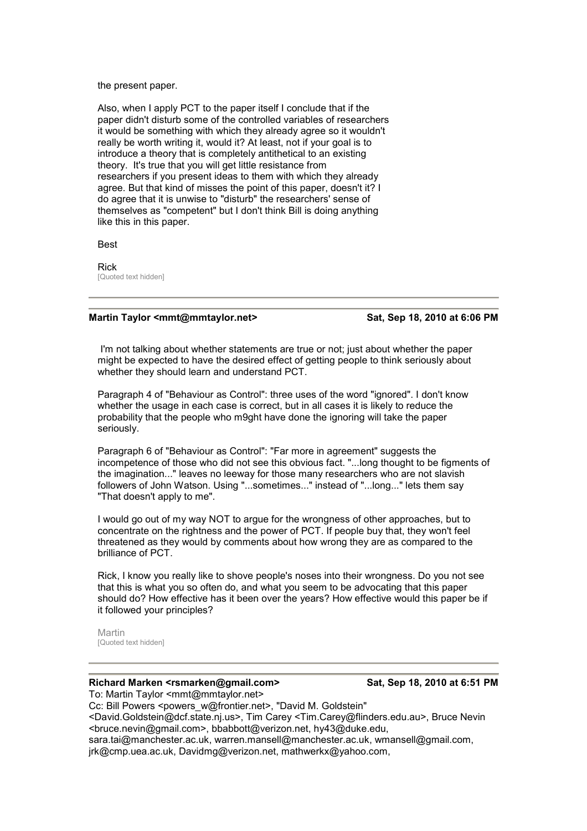the present paper.

Also, when I apply PCT to the paper itself I conclude that if the paper didn't disturb some of the controlled variables of researchers it would be something with which they already agree so it wouldn't really be worth writing it, would it? At least, not if your goal is to introduce a theory that is completely antithetical to an existing theory. It's true that you will get little resistance from researchers if you present ideas to them with which they already agree. But that kind of misses the point of this paper, doesn't it? I do agree that it is unwise to "disturb" the researchers' sense of themselves as "competent" but I don't think Bill is doing anything like this in this paper.

Best

Rick [Quoted text hidden]

#### Martin Taylor <mmt@mmtaylor.net> Sat, Sep 18, 2010 at 6:06 PM

 I'm not talking about whether statements are true or not; just about whether the paper might be expected to have the desired effect of getting people to think seriously about whether they should learn and understand PCT.

Paragraph 4 of "Behaviour as Control": three uses of the word "ignored". I don't know whether the usage in each case is correct, but in all cases it is likely to reduce the probability that the people who m9ght have done the ignoring will take the paper seriously.

Paragraph 6 of "Behaviour as Control": "Far more in agreement" suggests the incompetence of those who did not see this obvious fact. "...long thought to be figments of the imagination..." leaves no leeway for those many researchers who are not slavish followers of John Watson. Using "...sometimes..." instead of "...long..." lets them say "That doesn't apply to me".

I would go out of my way NOT to argue for the wrongness of other approaches, but to concentrate on the rightness and the power of PCT. If people buy that, they won't feel threatened as they would by comments about how wrong they are as compared to the brilliance of PCT.

Rick, I know you really like to shove people's noses into their wrongness. Do you not see that this is what you so often do, and what you seem to be advocating that this paper should do? How effective has it been over the years? How effective would this paper be if it followed your principles?

Martin [Quoted text hidden]

#### **Richard Marken <rsmarken@gmail.com> Sat, Sep 18, 2010 at 6:51 PM**

To: Martin Taylor <mmt@mmtaylor.net>

Cc: Bill Powers <powers\_w@frontier.net>, "David M. Goldstein" <David.Goldstein@dcf.state.nj.us>, Tim Carey <Tim.Carey@flinders.edu.au>, Bruce Nevin <bruce.nevin@gmail.com>, bbabbott@verizon.net, hy43@duke.edu, sara.tai@manchester.ac.uk, warren.mansell@manchester.ac.uk, wmansell@gmail.com, jrk@cmp.uea.ac.uk, Davidmg@verizon.net, mathwerkx@yahoo.com,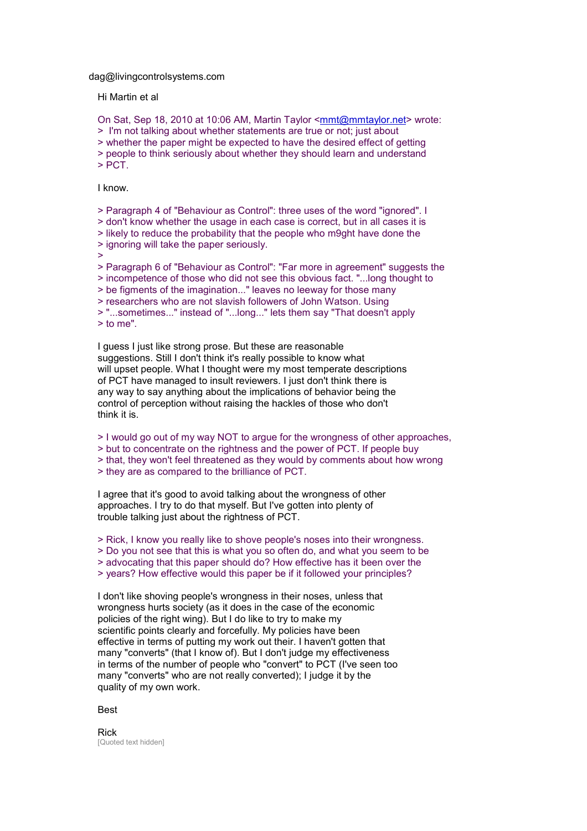dag@livingcontrolsystems.com

Hi Martin et al

On Sat, Sep 18, 2010 at 10:06 AM, Martin Taylor <mmt@mmtaylor.net> wrote: > I'm not talking about whether statements are true or not; just about > whether the paper might be expected to have the desired effect of getting > people to think seriously about whether they should learn and understand > PCT.

I know.

> Paragraph 4 of "Behaviour as Control": three uses of the word "ignored". I > don't know whether the usage in each case is correct, but in all cases it is > likely to reduce the probability that the people who m9ght have done the > ignoring will take the paper seriously. > > Paragraph 6 of "Behaviour as Control": "Far more in agreement" suggests the > incompetence of those who did not see this obvious fact. "...long thought to > be figments of the imagination..." leaves no leeway for those many > researchers who are not slavish followers of John Watson. Using

> "...sometimes..." instead of "...long..." lets them say "That doesn't apply > to me".

I guess I just like strong prose. But these are reasonable suggestions. Still I don't think it's really possible to know what will upset people. What I thought were my most temperate descriptions of PCT have managed to insult reviewers. I just don't think there is any way to say anything about the implications of behavior being the control of perception without raising the hackles of those who don't think it is.

> I would go out of my way NOT to argue for the wrongness of other approaches,

> but to concentrate on the rightness and the power of PCT. If people buy

> that, they won't feel threatened as they would by comments about how wrong

> they are as compared to the brilliance of PCT.

I agree that it's good to avoid talking about the wrongness of other approaches. I try to do that myself. But I've gotten into plenty of trouble talking just about the rightness of PCT.

> Rick, I know you really like to shove people's noses into their wrongness.

> Do you not see that this is what you so often do, and what you seem to be

> advocating that this paper should do? How effective has it been over the

> years? How effective would this paper be if it followed your principles?

I don't like shoving people's wrongness in their noses, unless that wrongness hurts society (as it does in the case of the economic policies of the right wing). But I do like to try to make my scientific points clearly and forcefully. My policies have been effective in terms of putting my work out their. I haven't gotten that many "converts" (that I know of). But I don't judge my effectiveness in terms of the number of people who "convert" to PCT (I've seen too many "converts" who are not really converted); I judge it by the quality of my own work.

Best

Rick [Quoted text hidden]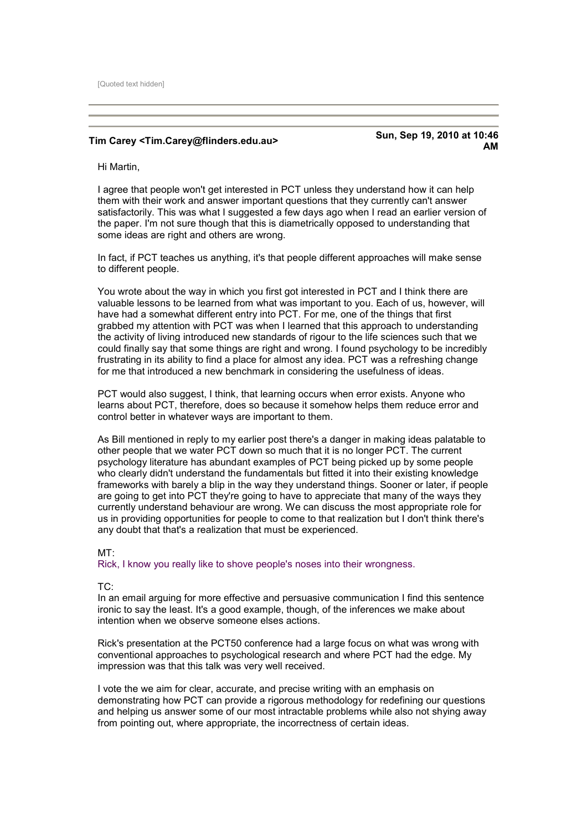[Quoted text hidden]

**Tim Carey <Tim.Carey@flinders.edu.au> Sun, Sep 19, 2010 at 10:46 AM** 

Hi Martin,

I agree that people won't get interested in PCT unless they understand how it can help them with their work and answer important questions that they currently can't answer satisfactorily. This was what I suggested a few days ago when I read an earlier version of the paper. I'm not sure though that this is diametrically opposed to understanding that some ideas are right and others are wrong.

In fact, if PCT teaches us anything, it's that people different approaches will make sense to different people.

You wrote about the way in which you first got interested in PCT and I think there are valuable lessons to be learned from what was important to you. Each of us, however, will have had a somewhat different entry into PCT. For me, one of the things that first grabbed my attention with PCT was when I learned that this approach to understanding the activity of living introduced new standards of rigour to the life sciences such that we could finally say that some things are right and wrong. I found psychology to be incredibly frustrating in its ability to find a place for almost any idea. PCT was a refreshing change for me that introduced a new benchmark in considering the usefulness of ideas.

PCT would also suggest, I think, that learning occurs when error exists. Anyone who learns about PCT, therefore, does so because it somehow helps them reduce error and control better in whatever ways are important to them.

As Bill mentioned in reply to my earlier post there's a danger in making ideas palatable to other people that we water PCT down so much that it is no longer PCT. The current psychology literature has abundant examples of PCT being picked up by some people who clearly didn't understand the fundamentals but fitted it into their existing knowledge frameworks with barely a blip in the way they understand things. Sooner or later, if people are going to get into PCT they're going to have to appreciate that many of the ways they currently understand behaviour are wrong. We can discuss the most appropriate role for us in providing opportunities for people to come to that realization but I don't think there's any doubt that that's a realization that must be experienced.

#### MT:

Rick, I know you really like to shove people's noses into their wrongness.

#### TC:

In an email arguing for more effective and persuasive communication I find this sentence ironic to say the least. It's a good example, though, of the inferences we make about intention when we observe someone elses actions.

Rick's presentation at the PCT50 conference had a large focus on what was wrong with conventional approaches to psychological research and where PCT had the edge. My impression was that this talk was very well received.

I vote the we aim for clear, accurate, and precise writing with an emphasis on demonstrating how PCT can provide a rigorous methodology for redefining our questions and helping us answer some of our most intractable problems while also not shying away from pointing out, where appropriate, the incorrectness of certain ideas.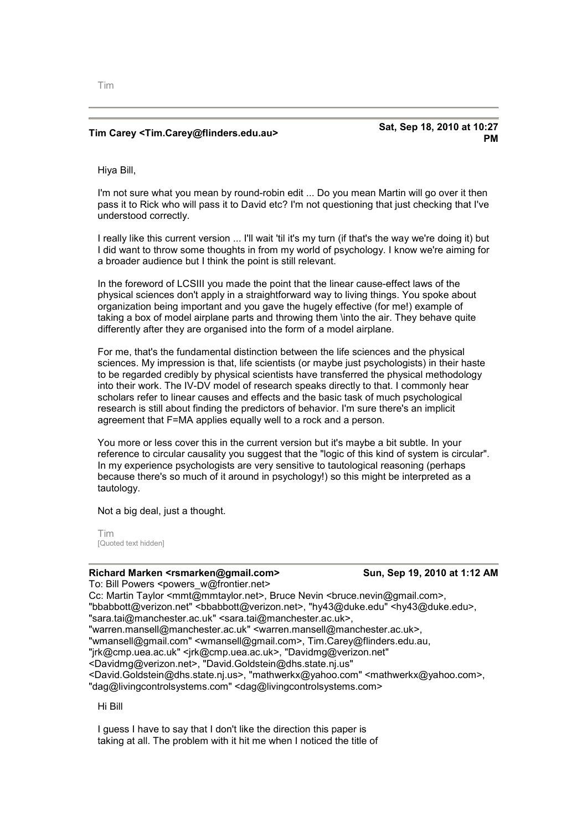## **Tim Carey <Tim.Carey@flinders.edu.au> Sat, Sep 18, 2010 at 10:27**

**PM** 

Hiya Bill,

I'm not sure what you mean by round-robin edit ... Do you mean Martin will go over it then pass it to Rick who will pass it to David etc? I'm not questioning that just checking that I've understood correctly.

I really like this current version ... I'll wait 'til it's my turn (if that's the way we're doing it) but I did want to throw some thoughts in from my world of psychology. I know we're aiming for a broader audience but I think the point is still relevant.

In the foreword of LCSIII you made the point that the linear cause-effect laws of the physical sciences don't apply in a straightforward way to living things. You spoke about organization being important and you gave the hugely effective (for me!) example of taking a box of model airplane parts and throwing them \into the air. They behave quite differently after they are organised into the form of a model airplane.

For me, that's the fundamental distinction between the life sciences and the physical sciences. My impression is that, life scientists (or maybe just psychologists) in their haste to be regarded credibly by physical scientists have transferred the physical methodology into their work. The IV-DV model of research speaks directly to that. I commonly hear scholars refer to linear causes and effects and the basic task of much psychological research is still about finding the predictors of behavior. I'm sure there's an implicit agreement that F=MA applies equally well to a rock and a person.

You more or less cover this in the current version but it's maybe a bit subtle. In your reference to circular causality you suggest that the "logic of this kind of system is circular". In my experience psychologists are very sensitive to tautological reasoning (perhaps because there's so much of it around in psychology!) so this might be interpreted as a tautology.

Not a big deal, just a thought.

Tim [Quoted text hidden]

### **Richard Marken <rsmarken@gmail.com> Sun, Sep 19, 2010 at 1:12 AM**

To: Bill Powers <powers\_w@frontier.net> Cc: Martin Taylor <mmt@mmtaylor.net>, Bruce Nevin <br/>bruce.nevin@gmail.com>, "bbabbott@verizon.net" <bbabbott@verizon.net>, "hy43@duke.edu" <hy43@duke.edu>, "sara.tai@manchester.ac.uk" <sara.tai@manchester.ac.uk>, "warren.mansell@manchester.ac.uk" <warren.mansell@manchester.ac.uk>, "wmansell@gmail.com" <wmansell@gmail.com>, Tim.Carey@flinders.edu.au, "jrk@cmp.uea.ac.uk" <jrk@cmp.uea.ac.uk>, "Davidmg@verizon.net" <Davidmg@verizon.net>, "David.Goldstein@dhs.state.nj.us" <David.Goldstein@dhs.state.nj.us>, "mathwerkx@yahoo.com" <mathwerkx@yahoo.com>, "dag@livingcontrolsystems.com" <dag@livingcontrolsystems.com>

Hi Bill

I guess I have to say that I don't like the direction this paper is taking at all. The problem with it hit me when I noticed the title of

Tim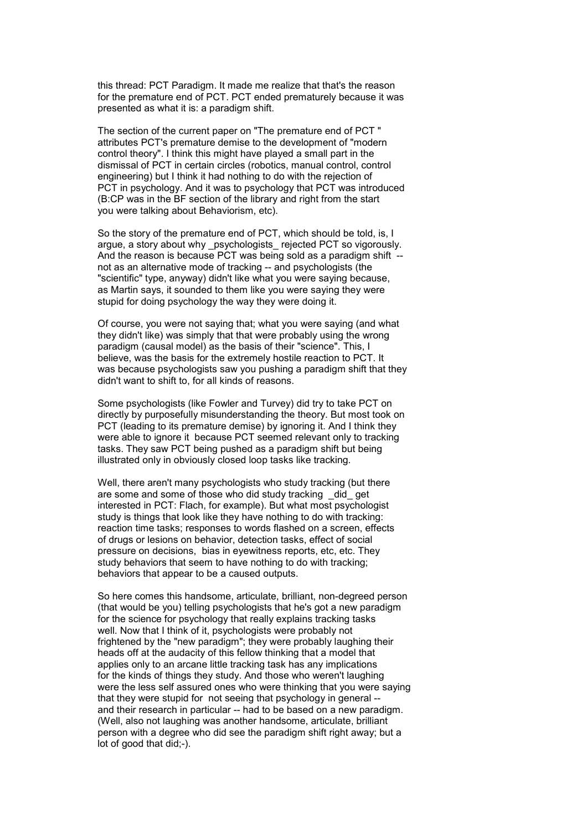this thread: PCT Paradigm. It made me realize that that's the reason for the premature end of PCT. PCT ended prematurely because it was presented as what it is: a paradigm shift.

The section of the current paper on "The premature end of PCT " attributes PCT's premature demise to the development of "modern control theory". I think this might have played a small part in the dismissal of PCT in certain circles (robotics, manual control, control engineering) but I think it had nothing to do with the rejection of PCT in psychology. And it was to psychology that PCT was introduced (B:CP was in the BF section of the library and right from the start you were talking about Behaviorism, etc).

So the story of the premature end of PCT, which should be told, is, I argue, a story about why \_psychologists\_ rejected PCT so vigorously. And the reason is because PCT was being sold as a paradigm shift -not as an alternative mode of tracking -- and psychologists (the "scientific" type, anyway) didn't like what you were saying because, as Martin says, it sounded to them like you were saying they were stupid for doing psychology the way they were doing it.

Of course, you were not saying that; what you were saying (and what they didn't like) was simply that that were probably using the wrong paradigm (causal model) as the basis of their "science". This, I believe, was the basis for the extremely hostile reaction to PCT. It was because psychologists saw you pushing a paradigm shift that they didn't want to shift to, for all kinds of reasons.

Some psychologists (like Fowler and Turvey) did try to take PCT on directly by purposefully misunderstanding the theory. But most took on PCT (leading to its premature demise) by ignoring it. And I think they were able to ignore it because PCT seemed relevant only to tracking tasks. They saw PCT being pushed as a paradigm shift but being illustrated only in obviously closed loop tasks like tracking.

Well, there aren't many psychologists who study tracking (but there are some and some of those who did study tracking did get interested in PCT: Flach, for example). But what most psychologist study is things that look like they have nothing to do with tracking: reaction time tasks; responses to words flashed on a screen, effects of drugs or lesions on behavior, detection tasks, effect of social pressure on decisions, bias in eyewitness reports, etc, etc. They study behaviors that seem to have nothing to do with tracking; behaviors that appear to be a caused outputs.

So here comes this handsome, articulate, brilliant, non-degreed person (that would be you) telling psychologists that he's got a new paradigm for the science for psychology that really explains tracking tasks well. Now that I think of it, psychologists were probably not frightened by the "new paradigm"; they were probably laughing their heads off at the audacity of this fellow thinking that a model that applies only to an arcane little tracking task has any implications for the kinds of things they study. And those who weren't laughing were the less self assured ones who were thinking that you were saying that they were stupid for not seeing that psychology in general - and their research in particular -- had to be based on a new paradigm. (Well, also not laughing was another handsome, articulate, brilliant person with a degree who did see the paradigm shift right away; but a lot of good that did;-).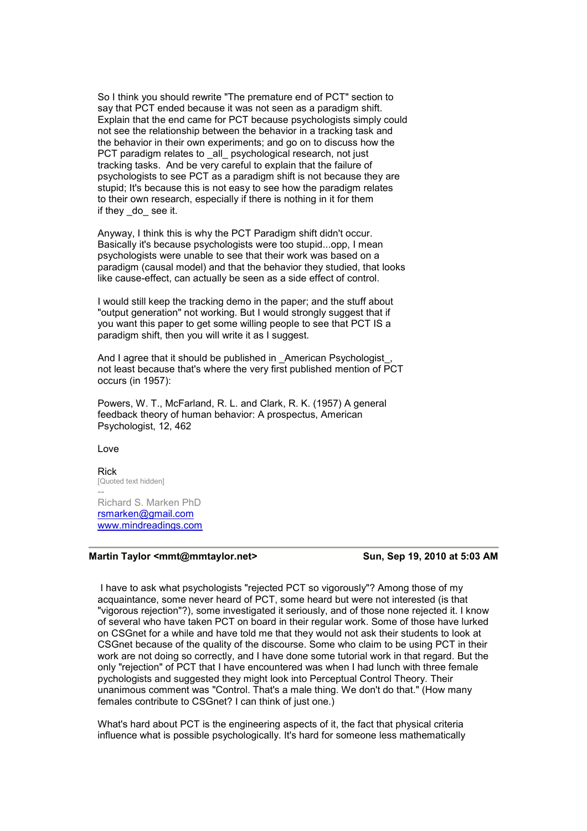So I think you should rewrite "The premature end of PCT" section to say that PCT ended because it was not seen as a paradigm shift. Explain that the end came for PCT because psychologists simply could not see the relationship between the behavior in a tracking task and the behavior in their own experiments; and go on to discuss how the PCT paradigm relates to all psychological research, not just tracking tasks. And be very careful to explain that the failure of psychologists to see PCT as a paradigm shift is not because they are stupid; It's because this is not easy to see how the paradigm relates to their own research, especially if there is nothing in it for them if they do see it.

Anyway, I think this is why the PCT Paradigm shift didn't occur. Basically it's because psychologists were too stupid...opp, I mean psychologists were unable to see that their work was based on a paradigm (causal model) and that the behavior they studied, that looks like cause-effect, can actually be seen as a side effect of control.

I would still keep the tracking demo in the paper; and the stuff about "output generation" not working. But I would strongly suggest that if you want this paper to get some willing people to see that PCT IS a paradigm shift, then you will write it as I suggest.

And I agree that it should be published in American Psychologist, not least because that's where the very first published mention of PCT occurs (in 1957):

Powers, W. T., McFarland, R. L. and Clark, R. K. (1957) A general feedback theory of human behavior: A prospectus, American Psychologist, 12, 462

[Love](http://www.mindreadings.com/) 

Rick [Quoted text hidden] --

Richard S. Marken PhD rsmarken@gmail.com www.mindreadings.com

### Martin Taylor <mmt@mmtaylor.net> Sun, Sep 19, 2010 at 5:03 AM

 I have to ask what psychologists "rejected PCT so vigorously"? Among those of my acquaintance, some never heard of PCT, some heard but were not interested (is that "vigorous rejection"?), some investigated it seriously, and of those none rejected it. I know of several who have taken PCT on board in their regular work. Some of those have lurked on CSGnet for a while and have told me that they would not ask their students to look at CSGnet because of the quality of the discourse. Some who claim to be using PCT in their work are not doing so correctly, and I have done some tutorial work in that regard. But the only "rejection" of PCT that I have encountered was when I had lunch with three female pychologists and suggested they might look into Perceptual Control Theory. Their unanimous comment was "Control. That's a male thing. We don't do that." (How many females contribute to CSGnet? I can think of just one.)

What's hard about PCT is the engineering aspects of it, the fact that physical criteria influence what is possible psychologically. It's hard for someone less mathematically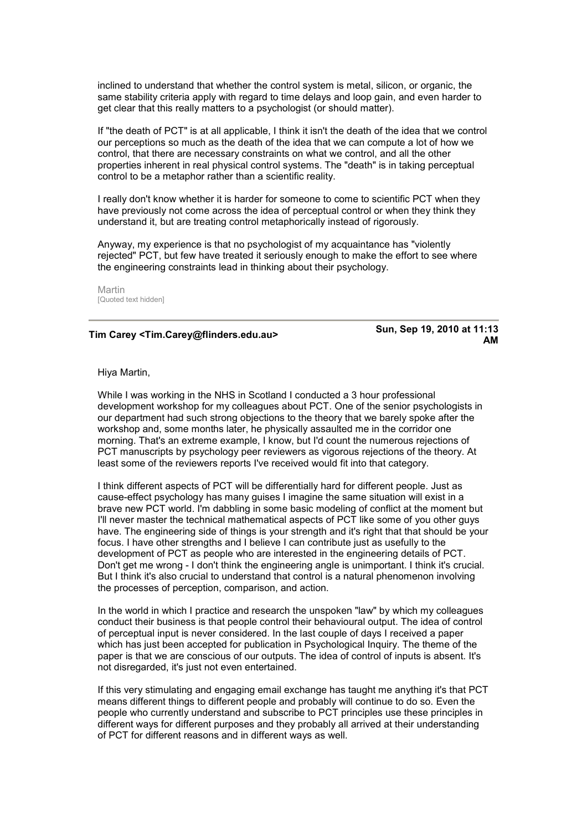inclined to understand that whether the control system is metal, silicon, or organic, the same stability criteria apply with regard to time delays and loop gain, and even harder to get clear that this really matters to a psychologist (or should matter).

If "the death of PCT" is at all applicable, I think it isn't the death of the idea that we control our perceptions so much as the death of the idea that we can compute a lot of how we control, that there are necessary constraints on what we control, and all the other properties inherent in real physical control systems. The "death" is in taking perceptual control to be a metaphor rather than a scientific reality.

I really don't know whether it is harder for someone to come to scientific PCT when they have previously not come across the idea of perceptual control or when they think they understand it, but are treating control metaphorically instead of rigorously.

Anyway, my experience is that no psychologist of my acquaintance has "violently rejected" PCT, but few have treated it seriously enough to make the effort to see where the engineering constraints lead in thinking about their psychology.

Martin [Quoted text hidden]

## **Tim Carey <Tim.Carey@flinders.edu.au> Sun, Sep 19, 2010 at 11:13**

**AM** 

Hiya Martin,

While I was working in the NHS in Scotland I conducted a 3 hour professional development workshop for my colleagues about PCT. One of the senior psychologists in our department had such strong objections to the theory that we barely spoke after the workshop and, some months later, he physically assaulted me in the corridor one morning. That's an extreme example, I know, but I'd count the numerous rejections of PCT manuscripts by psychology peer reviewers as vigorous rejections of the theory. At least some of the reviewers reports I've received would fit into that category.

I think different aspects of PCT will be differentially hard for different people. Just as cause-effect psychology has many guises I imagine the same situation will exist in a brave new PCT world. I'm dabbling in some basic modeling of conflict at the moment but I'll never master the technical mathematical aspects of PCT like some of you other guys have. The engineering side of things is your strength and it's right that that should be your focus. I have other strengths and I believe I can contribute just as usefully to the development of PCT as people who are interested in the engineering details of PCT. Don't get me wrong - I don't think the engineering angle is unimportant. I think it's crucial. But I think it's also crucial to understand that control is a natural phenomenon involving the processes of perception, comparison, and action.

In the world in which I practice and research the unspoken "law" by which my colleagues conduct their business is that people control their behavioural output. The idea of control of perceptual input is never considered. In the last couple of days I received a paper which has just been accepted for publication in Psychological Inquiry. The theme of the paper is that we are conscious of our outputs. The idea of control of inputs is absent. It's not disregarded, it's just not even entertained.

If this very stimulating and engaging email exchange has taught me anything it's that PCT means different things to different people and probably will continue to do so. Even the people who currently understand and subscribe to PCT principles use these principles in different ways for different purposes and they probably all arrived at their understanding of PCT for different reasons and in different ways as well.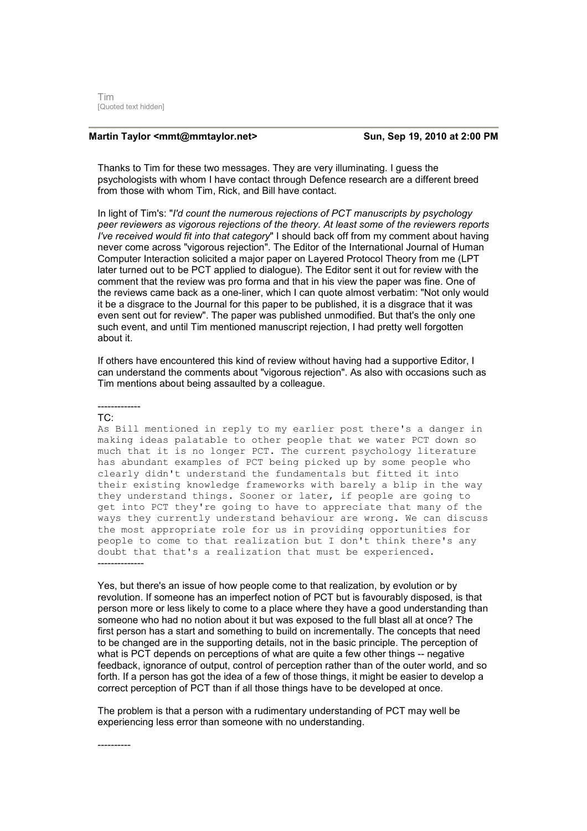Tim [Quoted text hidden]

### Martin Taylor <mmt@mmtaylor.net> Sun, Sep 19, 2010 at 2:00 PM

Thanks to Tim for these two messages. They are very illuminating. I guess the psychologists with whom I have contact through Defence research are a different breed from those with whom Tim, Rick, and Bill have contact.

In light of Tim's: "*I'd count the numerous rejections of PCT manuscripts by psychology peer reviewers as vigorous rejections of the theory. At least some of the reviewers reports I've received would fit into that category*" I should back off from my comment about having never come across "vigorous rejection". The Editor of the International Journal of Human Computer Interaction solicited a major paper on Layered Protocol Theory from me (LPT later turned out to be PCT applied to dialogue). The Editor sent it out for review with the comment that the review was pro forma and that in his view the paper was fine. One of the reviews came back as a one-liner, which I can quote almost verbatim: "Not only would it be a disgrace to the Journal for this paper to be published, it is a disgrace that it was even sent out for review". The paper was published unmodified. But that's the only one such event, and until Tim mentioned manuscript rejection, I had pretty well forgotten about it.

If others have encountered this kind of review without having had a supportive Editor, I can understand the comments about "vigorous rejection". As also with occasions such as Tim mentions about being assaulted by a colleague.

#### ------------- TC:

As Bill mentioned in reply to my earlier post there's a danger in making ideas palatable to other people that we water PCT down so much that it is no longer PCT. The current psychology literature has abundant examples of PCT being picked up by some people who clearly didn't understand the fundamentals but fitted it into their existing knowledge frameworks with barely a blip in the way they understand things. Sooner or later, if people are going to get into PCT they're going to have to appreciate that many of the ways they currently understand behaviour are wrong. We can discuss the most appropriate role for us in providing opportunities for people to come to that realization but I don't think there's any doubt that that's a realization that must be experienced. --------------

Yes, but there's an issue of how people come to that realization, by evolution or by revolution. If someone has an imperfect notion of PCT but is favourably disposed, is that person more or less likely to come to a place where they have a good understanding than someone who had no notion about it but was exposed to the full blast all at once? The first person has a start and something to build on incrementally. The concepts that need to be changed are in the supporting details, not in the basic principle. The perception of what is PCT depends on perceptions of what are quite a few other things -- negative feedback, ignorance of output, control of perception rather than of the outer world, and so forth. If a person has got the idea of a few of those things, it might be easier to develop a correct perception of PCT than if all those things have to be developed at once.

The problem is that a person with a rudimentary understanding of PCT may well be experiencing less error than someone with no understanding.

----------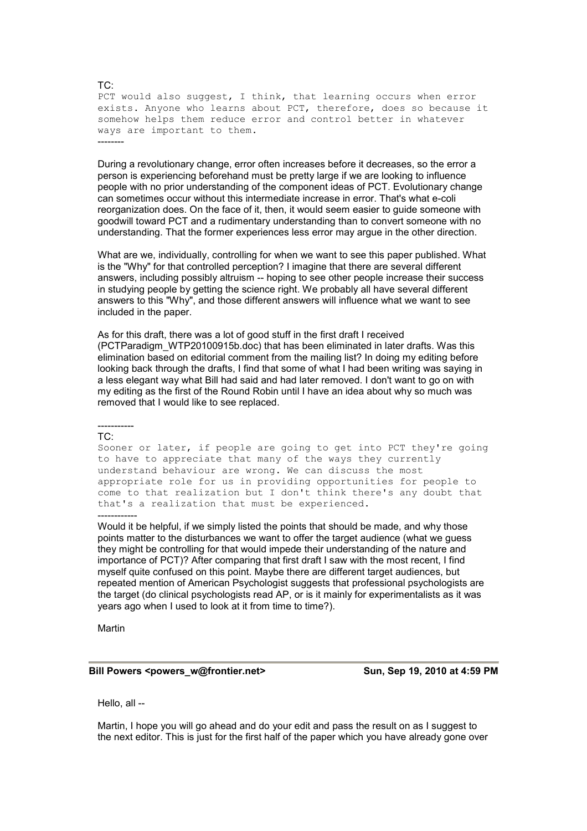PCT would also suggest, I think, that learning occurs when error exists. Anyone who learns about PCT, therefore, does so because it somehow helps them reduce error and control better in whatever ways are important to them. --------

During a revolutionary change, error often increases before it decreases, so the error a person is experiencing beforehand must be pretty large if we are looking to influence people with no prior understanding of the component ideas of PCT. Evolutionary change can sometimes occur without this intermediate increase in error. That's what e-coli reorganization does. On the face of it, then, it would seem easier to guide someone with goodwill toward PCT and a rudimentary understanding than to convert someone with no understanding. That the former experiences less error may argue in the other direction.

What are we, individually, controlling for when we want to see this paper published. What is the "Why" for that controlled perception? I imagine that there are several different answers, including possibly altruism -- hoping to see other people increase their success in studying people by getting the science right. We probably all have several different answers to this "Why", and those different answers will influence what we want to see included in the paper.

As for this draft, there was a lot of good stuff in the first draft I received (PCTParadigm\_WTP20100915b.doc) that has been eliminated in later drafts. Was this elimination based on editorial comment from the mailing list? In doing my editing before looking back through the drafts, I find that some of what I had been writing was saying in a less elegant way what Bill had said and had later removed. I don't want to go on with my editing as the first of the Round Robin until I have an idea about why so much was removed that I would like to see replaced.

#### TC:

-----------

Sooner or later, if people are going to get into PCT they're going to have to appreciate that many of the ways they currently understand behaviour are wrong. We can discuss the most appropriate role for us in providing opportunities for people to come to that realization but I don't think there's any doubt that that's a realization that must be experienced. ------------

Would it be helpful, if we simply listed the points that should be made, and why those points matter to the disturbances we want to offer the target audience (what we guess they might be controlling for that would impede their understanding of the nature and importance of PCT)? After comparing that first draft I saw with the most recent, I find myself quite confused on this point. Maybe there are different target audiences, but repeated mention of American Psychologist suggests that professional psychologists are the target (do clinical psychologists read AP, or is it mainly for experimentalists as it was years ago when I used to look at it from time to time?).

Martin

#### **Bill Powers <powers\_w@frontier.net> Sun, Sep 19, 2010 at 4:59 PM**

Hello, all --

Martin, I hope you will go ahead and do your edit and pass the result on as I suggest to the next editor. This is just for the first half of the paper which you have already gone over

#### TC: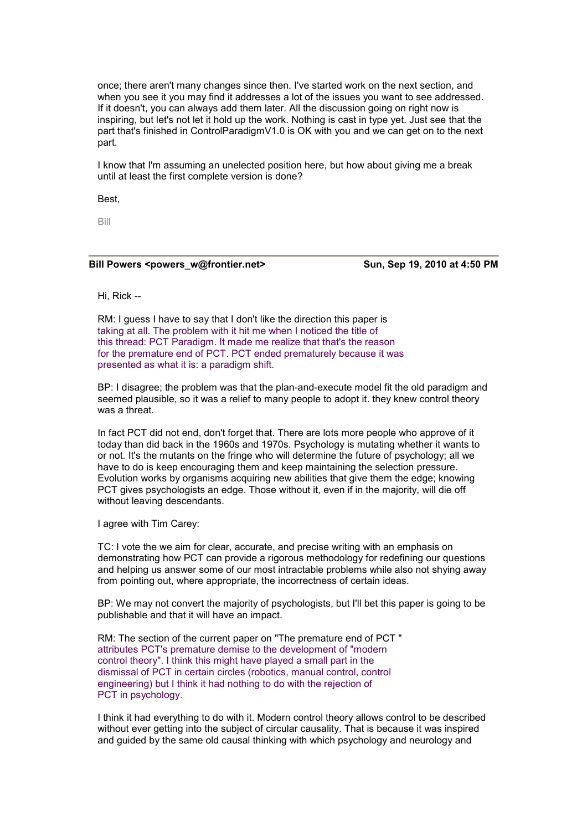once; there aren't many changes since then. I've started work on the next section, and when you see it you may find it addresses a lot of the issues you want to see addressed. If it doesn't, you can always add them later. All the discussion going on right now is inspiring, but let's not let it hold up the work. Nothing is cast in type yet. Just see that the part that's finished in ControlParadigmV1.0 is OK with you and we can get on to the next part.

I know that I'm assuming an unelected position here, but how about giving me a break until at least the first complete version is done?

Best,

Bill

#### Bill Powers <powers\_w@frontier.net> Sun, Sep 19, 2010 at 4:50 PM

Hi, Rick --

RM: I guess I have to say that I don't like the direction this paper is taking at all. The problem with it hit me when I noticed the title of this thread: PCT Paradigm. It made me realize that that's the reason for the premature end of PCT. PCT ended prematurely because it was presented as what it is: a paradigm shift.

BP: I disagree; the problem was that the plan-and-execute model fit the old paradigm and seemed plausible, so it was a relief to many people to adopt it. they knew control theory was a threat.

In fact PCT did not end, don't forget that. There are lots more people who approve of it today than did back in the 1960s and 1970s. Psychology is mutating whether it wants to or not. It's the mutants on the fringe who will determine the future of psychology; all we have to do is keep encouraging them and keep maintaining the selection pressure. Evolution works by organisms acquiring new abilities that give them the edge; knowing PCT gives psychologists an edge. Those without it, even if in the majority, will die off without leaving descendants.

I agree with Tim Carey:

TC: I vote the we aim for clear, accurate, and precise writing with an emphasis on demonstrating how PCT can provide a rigorous methodology for redefining our questions and helping us answer some of our most intractable problems while also not shying away from pointing out, where appropriate, the incorrectness of certain ideas.

BP: We may not convert the majority of psychologists, but I'll bet this paper is going to be publishable and that it will have an impact.

RM: The section of the current paper on "The premature end of PCT " attributes PCT's premature demise to the development of "modern control theory". I think this might have played a small part in the dismissal of PCT in certain circles (robotics, manual control, control engineering) but I think it had nothing to do with the rejection of PCT in psychology.

I think it had everything to do with it. Modern control theory allows control to be described without ever getting into the subject of circular causality. That is because it was inspired and guided by the same old causal thinking with which psychology and neurology and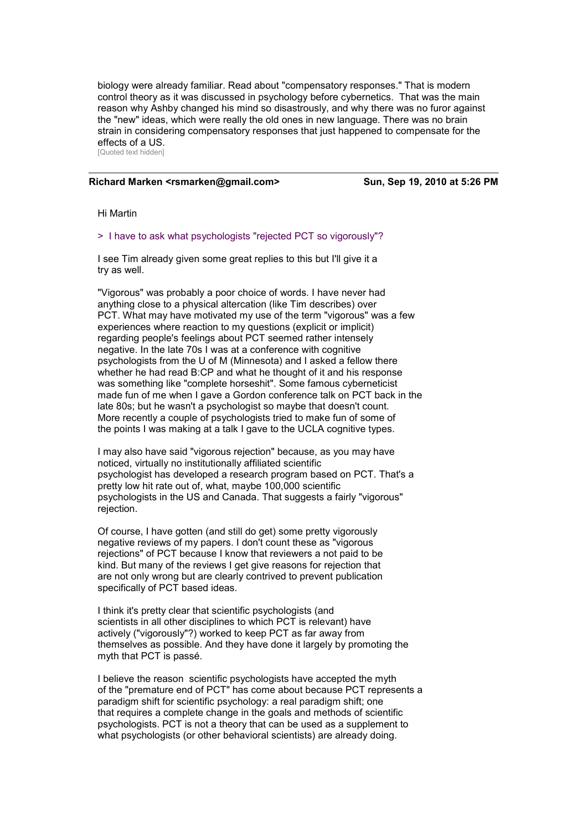biology were already familiar. Read about "compensatory responses." That is modern control theory as it was discussed in psychology before cybernetics. That was the main reason why Ashby changed his mind so disastrously, and why there was no furor against the "new" ideas, which were really the old ones in new language. There was no brain strain in considering compensatory responses that just happened to compensate for the effects of a US. [Quoted text hidden]

#### **Richard Marken <rsmarken@gmail.com> Sun, Sep 19, 2010 at 5:26 PM**

#### Hi Martin

#### > I have to ask what psychologists "rejected PCT so vigorously"?

I see Tim already given some great replies to this but I'll give it a try as well.

"Vigorous" was probably a poor choice of words. I have never had anything close to a physical altercation (like Tim describes) over PCT. What may have motivated my use of the term "vigorous" was a few experiences where reaction to my questions (explicit or implicit) regarding people's feelings about PCT seemed rather intensely negative. In the late 70s I was at a conference with cognitive psychologists from the U of M (Minnesota) and I asked a fellow there whether he had read B:CP and what he thought of it and his response was something like "complete horseshit". Some famous cyberneticist made fun of me when I gave a Gordon conference talk on PCT back in the late 80s; but he wasn't a psychologist so maybe that doesn't count. More recently a couple of psychologists tried to make fun of some of the points I was making at a talk I gave to the UCLA cognitive types.

I may also have said "vigorous rejection" because, as you may have noticed, virtually no institutionally affiliated scientific psychologist has developed a research program based on PCT. That's a pretty low hit rate out of, what, maybe 100,000 scientific psychologists in the US and Canada. That suggests a fairly "vigorous" rejection.

Of course, I have gotten (and still do get) some pretty vigorously negative reviews of my papers. I don't count these as "vigorous rejections" of PCT because I know that reviewers a not paid to be kind. But many of the reviews I get give reasons for rejection that are not only wrong but are clearly contrived to prevent publication specifically of PCT based ideas.

I think it's pretty clear that scientific psychologists (and scientists in all other disciplines to which PCT is relevant) have actively ("vigorously"?) worked to keep PCT as far away from themselves as possible. And they have done it largely by promoting the myth that PCT is passé.

I believe the reason scientific psychologists have accepted the myth of the "premature end of PCT" has come about because PCT represents a paradigm shift for scientific psychology: a real paradigm shift; one that requires a complete change in the goals and methods of scientific psychologists. PCT is not a theory that can be used as a supplement to what psychologists (or other behavioral scientists) are already doing.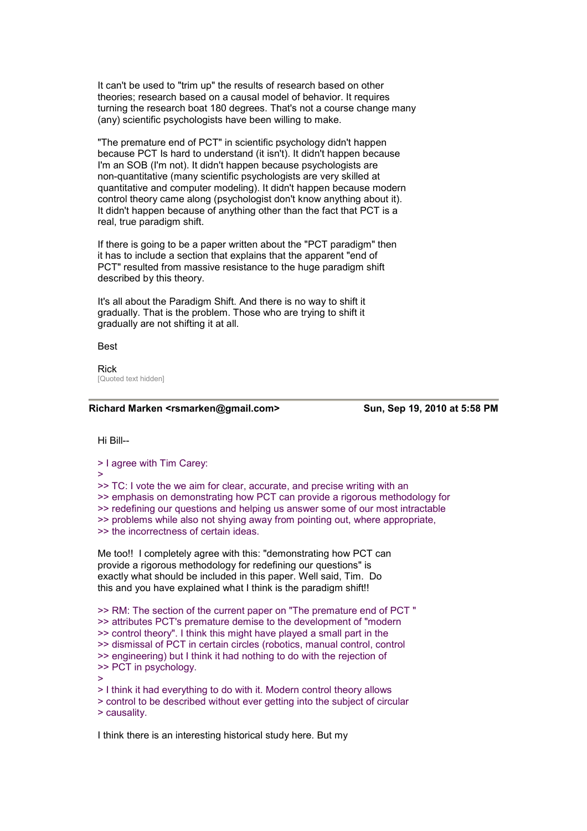It can't be used to "trim up" the results of research based on other theories; research based on a causal model of behavior. It requires turning the research boat 180 degrees. That's not a course change many (any) scientific psychologists have been willing to make.

"The premature end of PCT" in scientific psychology didn't happen because PCT Is hard to understand (it isn't). It didn't happen because I'm an SOB (I'm not). It didn't happen because psychologists are non-quantitative (many scientific psychologists are very skilled at quantitative and computer modeling). It didn't happen because modern control theory came along (psychologist don't know anything about it). It didn't happen because of anything other than the fact that PCT is a real, true paradigm shift.

If there is going to be a paper written about the "PCT paradigm" then it has to include a section that explains that the apparent "end of PCT" resulted from massive resistance to the huge paradigm shift described by this theory.

It's all about the Paradigm Shift. And there is no way to shift it gradually. That is the problem. Those who are trying to shift it gradually are not shifting it at all.

Best

Rick [Quoted text hidden]

#### **Richard Marken <rsmarken@gmail.com> Sun, Sep 19, 2010 at 5:58 PM**

Hi Bill--

> I agree with Tim Carey:

>

>> TC: I vote the we aim for clear, accurate, and precise writing with an >> emphasis on demonstrating how PCT can provide a rigorous methodology for >> redefining our questions and helping us answer some of our most intractable >> problems while also not shying away from pointing out, where appropriate, >> the incorrectness of certain ideas.

Me too!! I completely agree with this: "demonstrating how PCT can provide a rigorous methodology for redefining our questions" is exactly what should be included in this paper. Well said, Tim. Do this and you have explained what I think is the paradigm shift!!

>> RM: The section of the current paper on "The premature end of PCT " >> attributes PCT's premature demise to the development of "modern >> control theory". I think this might have played a small part in the >> dismissal of PCT in certain circles (robotics, manual control, control >> engineering) but I think it had nothing to do with the rejection of >> PCT in psychology. >

> I think it had everything to do with it. Modern control theory allows

> control to be described without ever getting into the subject of circular > causality.

I think there is an interesting historical study here. But my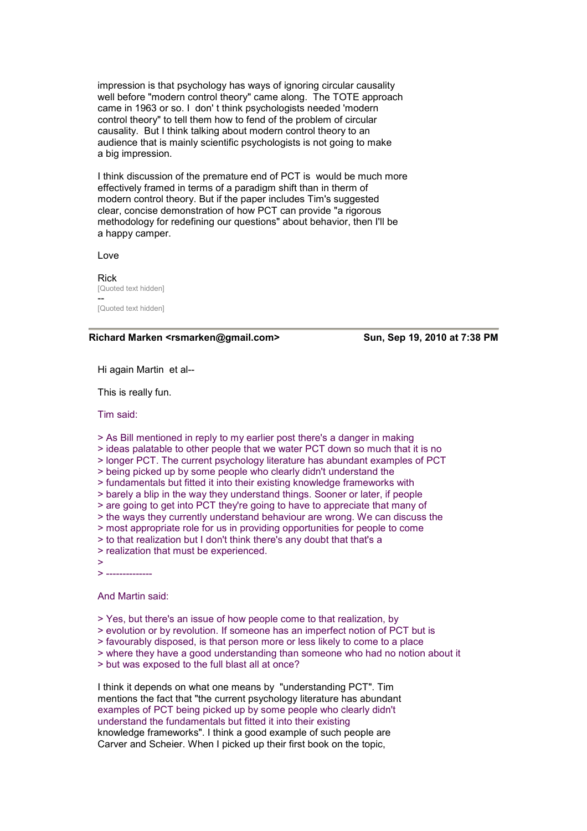impression is that psychology has ways of ignoring circular causality well before "modern control theory" came along. The TOTE approach came in 1963 or so. I don' t think psychologists needed 'modern control theory" to tell them how to fend of the problem of circular causality. But I think talking about modern control theory to an audience that is mainly scientific psychologists is not going to make a big impression.

I think discussion of the premature end of PCT is would be much more effectively framed in terms of a paradigm shift than in therm of modern control theory. But if the paper includes Tim's suggested clear, concise demonstration of how PCT can provide "a rigorous methodology for redefining our questions" about behavior, then I'll be a happy camper.

Love

Rick [Quoted text hidden] -- [Quoted text hidden]

**Richard Marken <rsmarken@gmail.com> Sun, Sep 19, 2010 at 7:38 PM** 

Hi again Martin et al--

This is really fun.

Tim said:

> As Bill mentioned in reply to my earlier post there's a danger in making

> ideas palatable to other people that we water PCT down so much that it is no

> longer PCT. The current psychology literature has abundant examples of PCT

> being picked up by some people who clearly didn't understand the

- > fundamentals but fitted it into their existing knowledge frameworks with
- > barely a blip in the way they understand things. Sooner or later, if people

> are going to get into PCT they're going to have to appreciate that many of

> the ways they currently understand behaviour are wrong. We can discuss the

> most appropriate role for us in providing opportunities for people to come

- > to that realization but I don't think there's any doubt that that's a
- > realization that must be experienced.
- >

> --------------

And Martin said:

- > Yes, but there's an issue of how people come to that realization, by
- > evolution or by revolution. If someone has an imperfect notion of PCT but is
- > favourably disposed, is that person more or less likely to come to a place
- > where they have a good understanding than someone who had no notion about it
- > but was exposed to the full blast all at once?

I think it depends on what one means by "understanding PCT". Tim mentions the fact that "the current psychology literature has abundant examples of PCT being picked up by some people who clearly didn't understand the fundamentals but fitted it into their existing knowledge frameworks". I think a good example of such people are Carver and Scheier. When I picked up their first book on the topic,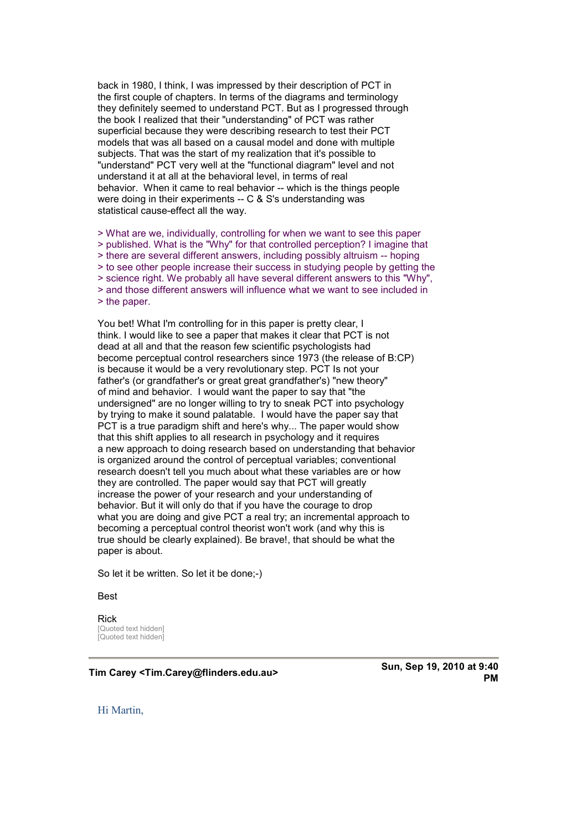back in 1980, I think, I was impressed by their description of PCT in the first couple of chapters. In terms of the diagrams and terminology they definitely seemed to understand PCT. But as I progressed through the book I realized that their "understanding" of PCT was rather superficial because they were describing research to test their PCT models that was all based on a causal model and done with multiple subjects. That was the start of my realization that it's possible to "understand" PCT very well at the "functional diagram" level and not understand it at all at the behavioral level, in terms of real behavior. When it came to real behavior -- which is the things people were doing in their experiments -- C & S's understanding was statistical cause-effect all the way.

> What are we, individually, controlling for when we want to see this paper > published. What is the "Why" for that controlled perception? I imagine that > there are several different answers, including possibly altruism -- hoping > to see other people increase their success in studying people by getting the > science right. We probably all have several different answers to this "Why", > and those different answers will influence what we want to see included in > the paper.

You bet! What I'm controlling for in this paper is pretty clear, I think. I would like to see a paper that makes it clear that PCT is not dead at all and that the reason few scientific psychologists had become perceptual control researchers since 1973 (the release of B:CP) is because it would be a very revolutionary step. PCT Is not your father's (or grandfather's or great great grandfather's) "new theory" of mind and behavior. I would want the paper to say that "the undersigned" are no longer willing to try to sneak PCT into psychology by trying to make it sound palatable. I would have the paper say that PCT is a true paradigm shift and here's why... The paper would show that this shift applies to all research in psychology and it requires a new approach to doing research based on understanding that behavior is organized around the control of perceptual variables; conventional research doesn't tell you much about what these variables are or how they are controlled. The paper would say that PCT will greatly increase the power of your research and your understanding of behavior. But it will only do that if you have the courage to drop what you are doing and give PCT a real try; an incremental approach to becoming a perceptual control theorist won't work (and why this is true should be clearly explained). Be brave!, that should be what the paper is about.

So let it be written. So let it be done;-)

#### Best

Rick [Quoted text hidden] [Quoted text hidden]

## **Tim Carey <Tim.Carey@flinders.edu.au> Sun, Sep 19, 2010 at 9:40**

**PM** 

Hi Martin,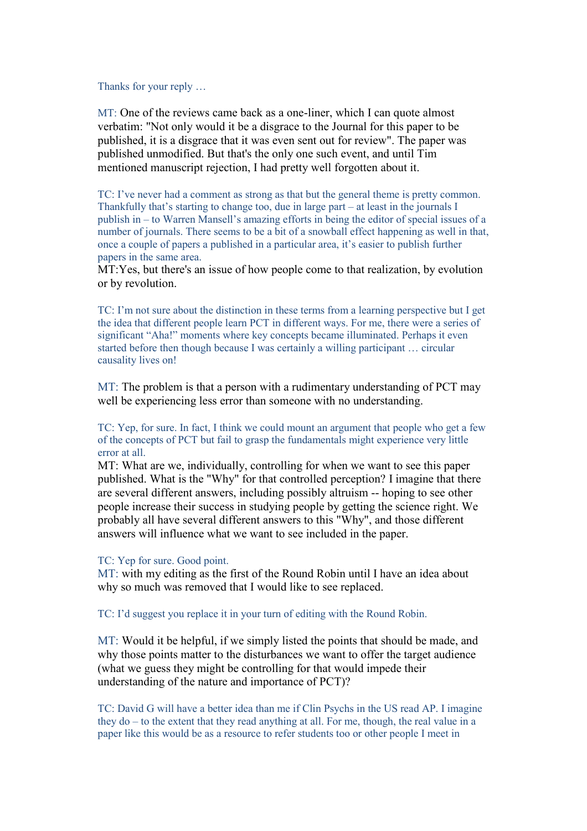Thanks for your reply …

MT: One of the reviews came back as a one-liner, which I can quote almost verbatim: "Not only would it be a disgrace to the Journal for this paper to be published, it is a disgrace that it was even sent out for review". The paper was published unmodified. But that's the only one such event, and until Tim mentioned manuscript rejection, I had pretty well forgotten about it.

TC: I've never had a comment as strong as that but the general theme is pretty common. Thankfully that's starting to change too, due in large part – at least in the journals I publish in – to Warren Mansell's amazing efforts in being the editor of special issues of a number of journals. There seems to be a bit of a snowball effect happening as well in that, once a couple of papers a published in a particular area, it's easier to publish further papers in the same area.

MT:Yes, but there's an issue of how people come to that realization, by evolution or by revolution.

TC: I'm not sure about the distinction in these terms from a learning perspective but I get the idea that different people learn PCT in different ways. For me, there were a series of significant "Aha!" moments where key concepts became illuminated. Perhaps it even started before then though because I was certainly a willing participant … circular causality lives on!

MT: The problem is that a person with a rudimentary understanding of PCT may well be experiencing less error than someone with no understanding.

TC: Yep, for sure. In fact, I think we could mount an argument that people who get a few of the concepts of PCT but fail to grasp the fundamentals might experience very little error at all.

MT: What are we, individually, controlling for when we want to see this paper published. What is the "Why" for that controlled perception? I imagine that there are several different answers, including possibly altruism -- hoping to see other people increase their success in studying people by getting the science right. We probably all have several different answers to this "Why", and those different answers will influence what we want to see included in the paper.

### TC: Yep for sure. Good point.

MT: with my editing as the first of the Round Robin until I have an idea about why so much was removed that I would like to see replaced.

TC: I'd suggest you replace it in your turn of editing with the Round Robin.

MT: Would it be helpful, if we simply listed the points that should be made, and why those points matter to the disturbances we want to offer the target audience (what we guess they might be controlling for that would impede their understanding of the nature and importance of PCT)?

TC: David G will have a better idea than me if Clin Psychs in the US read AP. I imagine they do – to the extent that they read anything at all. For me, though, the real value in a paper like this would be as a resource to refer students too or other people I meet in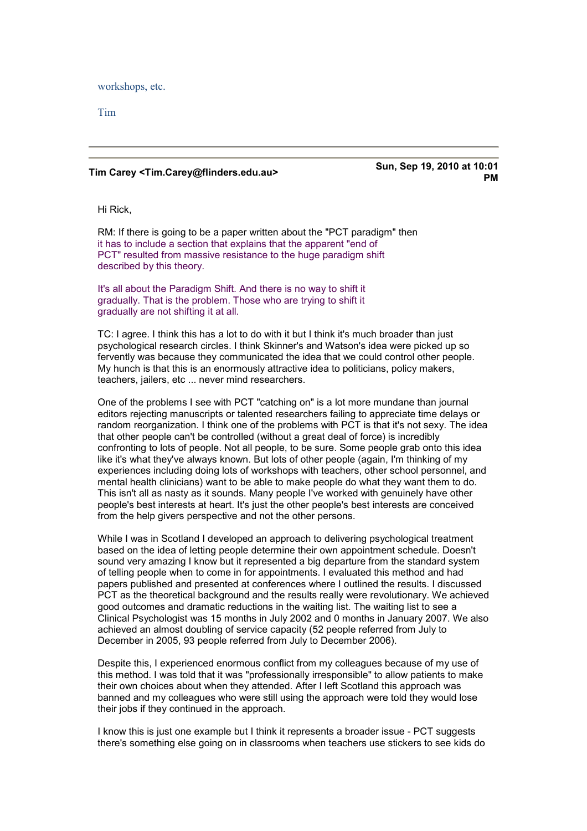workshops, etc.

Tim

## **Tim Carey <Tim.Carey@flinders.edu.au> Sun, Sep 19, 2010 at 10:01**

# **PM**

Hi Rick,

RM: If there is going to be a paper written about the "PCT paradigm" then it has to include a section that explains that the apparent "end of PCT" resulted from massive resistance to the huge paradigm shift described by this theory.

It's all about the Paradigm Shift. And there is no way to shift it gradually. That is the problem. Those who are trying to shift it gradually are not shifting it at all.

TC: I agree. I think this has a lot to do with it but I think it's much broader than just psychological research circles. I think Skinner's and Watson's idea were picked up so fervently was because they communicated the idea that we could control other people. My hunch is that this is an enormously attractive idea to politicians, policy makers, teachers, jailers, etc ... never mind researchers.

One of the problems I see with PCT "catching on" is a lot more mundane than journal editors rejecting manuscripts or talented researchers failing to appreciate time delays or random reorganization. I think one of the problems with PCT is that it's not sexy. The idea that other people can't be controlled (without a great deal of force) is incredibly confronting to lots of people. Not all people, to be sure. Some people grab onto this idea like it's what they've always known. But lots of other people (again, I'm thinking of my experiences including doing lots of workshops with teachers, other school personnel, and mental health clinicians) want to be able to make people do what they want them to do. This isn't all as nasty as it sounds. Many people I've worked with genuinely have other people's best interests at heart. It's just the other people's best interests are conceived from the help givers perspective and not the other persons.

While I was in Scotland I developed an approach to delivering psychological treatment based on the idea of letting people determine their own appointment schedule. Doesn't sound very amazing I know but it represented a big departure from the standard system of telling people when to come in for appointments. I evaluated this method and had papers published and presented at conferences where I outlined the results. I discussed PCT as the theoretical background and the results really were revolutionary. We achieved good outcomes and dramatic reductions in the waiting list. The waiting list to see a Clinical Psychologist was 15 months in July 2002 and 0 months in January 2007. We also achieved an almost doubling of service capacity (52 people referred from July to December in 2005, 93 people referred from July to December 2006).

Despite this, I experienced enormous conflict from my colleagues because of my use of this method. I was told that it was "professionally irresponsible" to allow patients to make their own choices about when they attended. After I left Scotland this approach was banned and my colleagues who were still using the approach were told they would lose their jobs if they continued in the approach.

I know this is just one example but I think it represents a broader issue - PCT suggests there's something else going on in classrooms when teachers use stickers to see kids do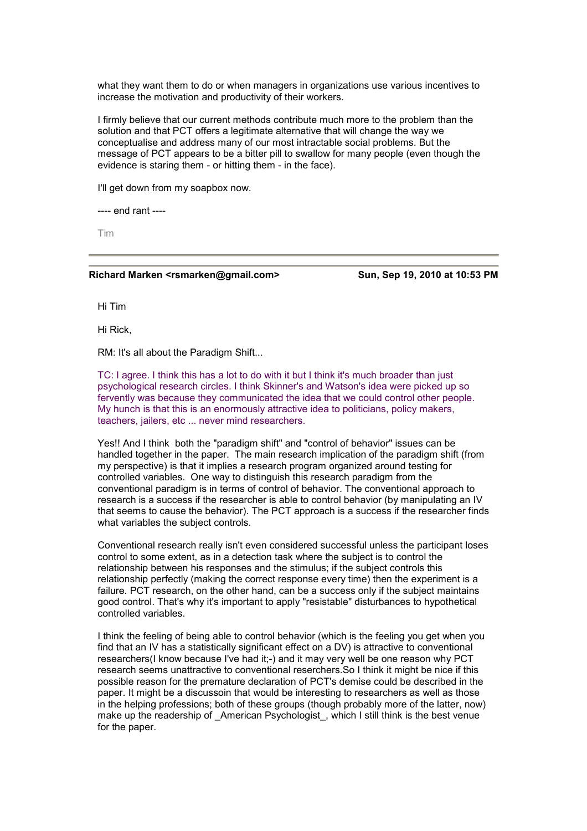what they want them to do or when managers in organizations use various incentives to increase the motivation and productivity of their workers.

I firmly believe that our current methods contribute much more to the problem than the solution and that PCT offers a legitimate alternative that will change the way we conceptualise and address many of our most intractable social problems. But the message of PCT appears to be a bitter pill to swallow for many people (even though the evidence is staring them - or hitting them - in the face).

I'll get down from my soapbox now.

---- end rant ----

Tim

#### **Richard Marken <rsmarken@gmail.com> Sun, Sep 19, 2010 at 10:53 PM**

Hi Tim

Hi Rick,

RM: It's all about the Paradigm Shift...

TC: I agree. I think this has a lot to do with it but I think it's much broader than just psychological research circles. I think Skinner's and Watson's idea were picked up so fervently was because they communicated the idea that we could control other people. My hunch is that this is an enormously attractive idea to politicians, policy makers, teachers, jailers, etc ... never mind researchers.

Yes!! And I think both the "paradigm shift" and "control of behavior" issues can be handled together in the paper. The main research implication of the paradigm shift (from my perspective) is that it implies a research program organized around testing for controlled variables. One way to distinguish this research paradigm from the conventional paradigm is in terms of control of behavior. The conventional approach to research is a success if the researcher is able to control behavior (by manipulating an IV that seems to cause the behavior). The PCT approach is a success if the researcher finds what variables the subject controls.

Conventional research really isn't even considered successful unless the participant loses control to some extent, as in a detection task where the subject is to control the relationship between his responses and the stimulus; if the subject controls this relationship perfectly (making the correct response every time) then the experiment is a failure. PCT research, on the other hand, can be a success only if the subject maintains good control. That's why it's important to apply "resistable" disturbances to hypothetical controlled variables.

I think the feeling of being able to control behavior (which is the feeling you get when you find that an IV has a statistically significant effect on a DV) is attractive to conventional researchers(I know because I've had it;-) and it may very well be one reason why PCT research seems unattractive to conventional reserchers.So I think it might be nice if this possible reason for the premature declaration of PCT's demise could be described in the paper. It might be a discussoin that would be interesting to researchers as well as those in the helping professions; both of these groups (though probably more of the latter, now) make up the readership of \_American Psychologist\_, which I still think is the best venue for the paper.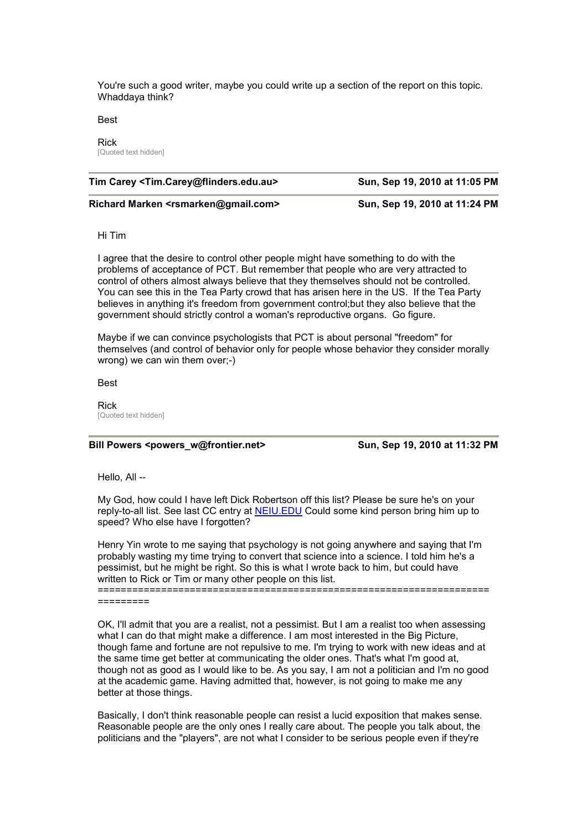You're such a good writer, maybe you could write up a section of the report on this topic. Whaddaya think?

Best

#### Rick

[Quoted text hidden]

| Tim Carey < Tim. Carey@flinders.edu.au> | Sun, Sep 19, 2010 at 11:05 PM |
|-----------------------------------------|-------------------------------|
|                                         |                               |

**Richard Marken <rsmarken@gmail.com> Sun, Sep 19, 2010 at 11:24 PM** 

Hi Tim

I agree that the desire to control other people might have something to do with the problems of acceptance of PCT. But remember that people who are very attracted to control of others almost always believe that they themselves should not be controlled. You can see this in the Tea Party crowd that has arisen here in the US. If the Tea Party believes in anything it's freedom from government control;but they also believe that the government should strictly control a woman's reproductive organs. Go figure.

Maybe if we can convince psychologists that PCT is about personal "freedom" for themselves (and control of behavior only for people whose behavior they consider morally wrong) we can win them over;-)

Best

Rick [Quoted text hidden]

#### **Bill Powers <powers\_w@frontier.net> Sun, Sep 19, 2010 at 11:32 PM**

Hello, All --

My God, how could I have left Dick Robertson off this list? Please be sure he's on your reply-to-all list. See last CC entry at **NEIU.EDU** Could some kind person bring him up to speed? Who else have I forgotten?

Henry Yin wrote to me saying that psychology is not going anywhere and saying that I'm probably wasting my time trying to convert that science into a science. I told him he's a pessimist, but he might be right. So this is what I wrote back to him, but could have written to Rick or Tim or many other people on this list.

==================================================================== =========

OK, I'll admit that you are a realist, not a pessimist. But I am a realist too when assessing what I can do that might make a difference. I am most interested in the Big Picture, though fame and fortune are not repulsive to me. I'm trying to work with new ideas and at the same time get better at communicating the older ones. That's what I'm good at, though not as good as I would like to be. As you say, I am not a politician and I'm no good at the academic game. Having admitted that, however, is not going to make me any better at those things.

Basically, I don't think reasonable people can resist a lucid exposition that makes sense. Reasonable people are the only ones I really care about. The people you talk about, the politicians and the "players", are not what I consider to be serious people even if they're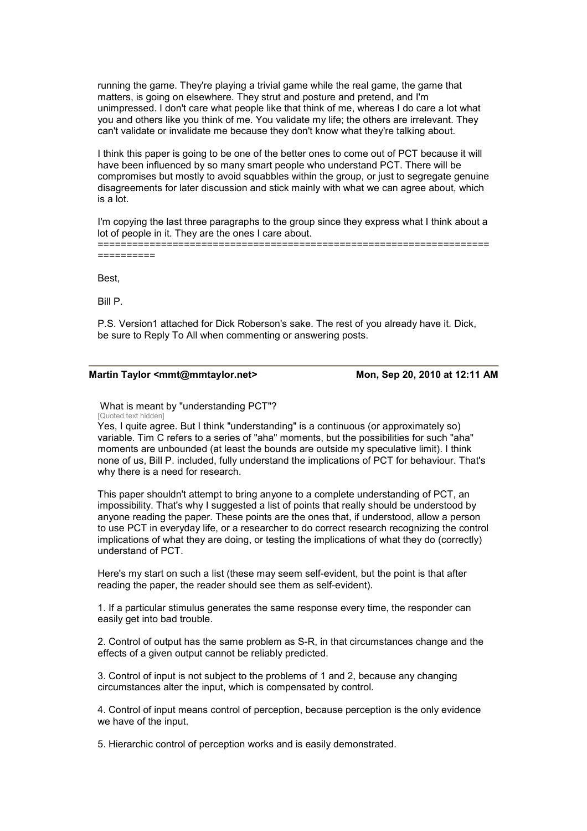running the game. They're playing a trivial game while the real game, the game that matters, is going on elsewhere. They strut and posture and pretend, and I'm unimpressed. I don't care what people like that think of me, whereas I do care a lot what you and others like you think of me. You validate my life; the others are irrelevant. They can't validate or invalidate me because they don't know what they're talking about.

I think this paper is going to be one of the better ones to come out of PCT because it will have been influenced by so many smart people who understand PCT. There will be compromises but mostly to avoid squabbles within the group, or just to segregate genuine disagreements for later discussion and stick mainly with what we can agree about, which is a lot.

I'm copying the last three paragraphs to the group since they express what I think about a lot of people in it. They are the ones I care about.

==================================================================== ==========

Best,

Bill P.

P.S. Version1 attached for Dick Roberson's sake. The rest of you already have it. Dick, be sure to Reply To All when commenting or answering posts.

#### **Martin Taylor <mmt@mmtaylor.net> Mon, Sep 20, 2010 at 12:11 AM**

 What is meant by "understanding PCT"? [Quoted text hidden]

Yes, I quite agree. But I think "understanding" is a continuous (or approximately so) variable. Tim C refers to a series of "aha" moments, but the possibilities for such "aha" moments are unbounded (at least the bounds are outside my speculative limit). I think none of us, Bill P. included, fully understand the implications of PCT for behaviour. That's why there is a need for research.

This paper shouldn't attempt to bring anyone to a complete understanding of PCT, an impossibility. That's why I suggested a list of points that really should be understood by anyone reading the paper. These points are the ones that, if understood, allow a person to use PCT in everyday life, or a researcher to do correct research recognizing the control implications of what they are doing, or testing the implications of what they do (correctly) understand of PCT.

Here's my start on such a list (these may seem self-evident, but the point is that after reading the paper, the reader should see them as self-evident).

1. If a particular stimulus generates the same response every time, the responder can easily get into bad trouble.

2. Control of output has the same problem as S-R, in that circumstances change and the effects of a given output cannot be reliably predicted.

3. Control of input is not subject to the problems of 1 and 2, because any changing circumstances alter the input, which is compensated by control.

4. Control of input means control of perception, because perception is the only evidence we have of the input.

5. Hierarchic control of perception works and is easily demonstrated.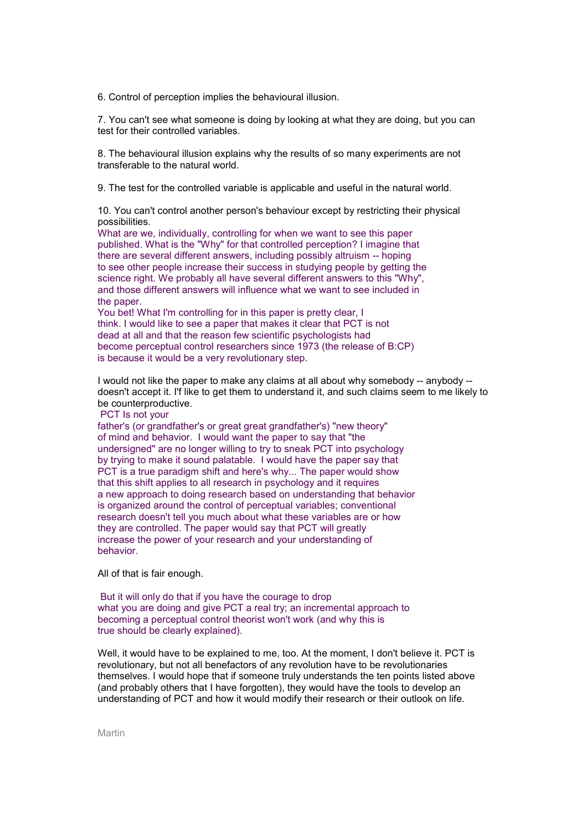6. Control of perception implies the behavioural illusion.

7. You can't see what someone is doing by looking at what they are doing, but you can test for their controlled variables.

8. The behavioural illusion explains why the results of so many experiments are not transferable to the natural world.

9. The test for the controlled variable is applicable and useful in the natural world.

10. You can't control another person's behaviour except by restricting their physical possibilities.

What are we, individually, controlling for when we want to see this paper published. What is the "Why" for that controlled perception? I imagine that there are several different answers, including possibly altruism -- hoping to see other people increase their success in studying people by getting the science right. We probably all have several different answers to this "Why", and those different answers will influence what we want to see included in the paper.

You bet! What I'm controlling for in this paper is pretty clear, I think. I would like to see a paper that makes it clear that PCT is not dead at all and that the reason few scientific psychologists had become perceptual control researchers since 1973 (the release of B:CP) is because it would be a very revolutionary step.

I would not like the paper to make any claims at all about why somebody -- anybody - doesn't accept it. I'f like to get them to understand it, and such claims seem to me likely to be counterproductive.

PCT Is not your

father's (or grandfather's or great great grandfather's) "new theory" of mind and behavior. I would want the paper to say that "the undersigned" are no longer willing to try to sneak PCT into psychology by trying to make it sound palatable. I would have the paper say that PCT is a true paradigm shift and here's why... The paper would show that this shift applies to all research in psychology and it requires a new approach to doing research based on understanding that behavior is organized around the control of perceptual variables; conventional research doesn't tell you much about what these variables are or how they are controlled. The paper would say that PCT will greatly increase the power of your research and your understanding of behavior.

All of that is fair enough.

 But it will only do that if you have the courage to drop what you are doing and give PCT a real try; an incremental approach to becoming a perceptual control theorist won't work (and why this is true should be clearly explained).

Well, it would have to be explained to me, too. At the moment, I don't believe it. PCT is revolutionary, but not all benefactors of any revolution have to be revolutionaries themselves. I would hope that if someone truly understands the ten points listed above (and probably others that I have forgotten), they would have the tools to develop an understanding of PCT and how it would modify their research or their outlook on life.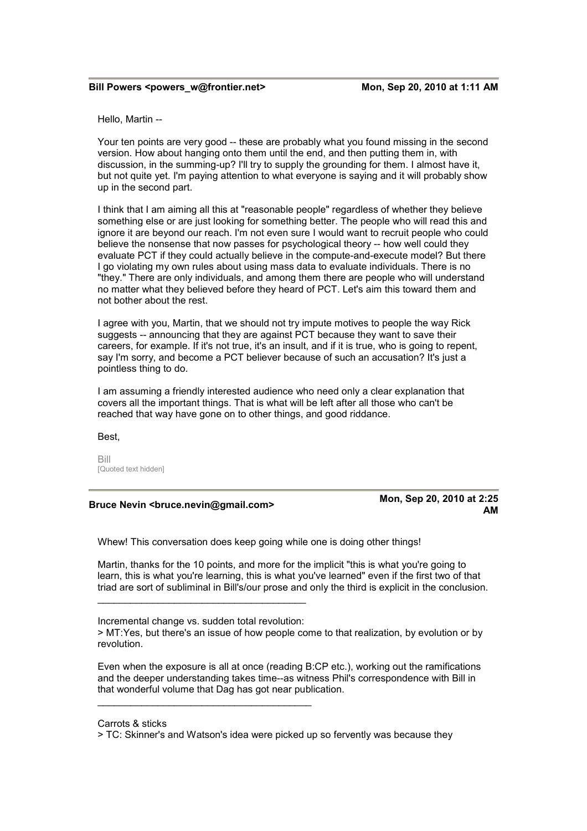Hello, Martin --

Your ten points are very good -- these are probably what you found missing in the second version. How about hanging onto them until the end, and then putting them in, with discussion, in the summing-up? I'll try to supply the grounding for them. I almost have it, but not quite yet. I'm paying attention to what everyone is saying and it will probably show up in the second part.

I think that I am aiming all this at "reasonable people" regardless of whether they believe something else or are just looking for something better. The people who will read this and ignore it are beyond our reach. I'm not even sure I would want to recruit people who could believe the nonsense that now passes for psychological theory -- how well could they evaluate PCT if they could actually believe in the compute-and-execute model? But there I go violating my own rules about using mass data to evaluate individuals. There is no "they." There are only individuals, and among them there are people who will understand no matter what they believed before they heard of PCT. Let's aim this toward them and not bother about the rest.

I agree with you, Martin, that we should not try impute motives to people the way Rick suggests -- announcing that they are against PCT because they want to save their careers, for example. If it's not true, it's an insult, and if it is true, who is going to repent, say I'm sorry, and become a PCT believer because of such an accusation? It's just a pointless thing to do.

I am assuming a friendly interested audience who need only a clear explanation that covers all the important things. That is what will be left after all those who can't be reached that way have gone on to other things, and good riddance.

Best,

Bill [Quoted text hidden]

## **Bruce Nevin <bruce.nevin@gmail.com> Mon, Sep 20, 2010 at 2:25**

**AM** 

Whew! This conversation does keep going while one is doing other things!

Martin, thanks for the 10 points, and more for the implicit "this is what you're going to learn, this is what you're learning, this is what you've learned" even if the first two of that triad are sort of subliminal in Bill's/our prose and only the third is explicit in the conclusion.

\_\_\_\_\_\_\_\_\_\_\_\_\_\_\_\_\_\_\_\_\_\_\_\_\_\_\_\_\_\_\_\_\_\_\_\_\_\_\_

\_\_\_\_\_\_\_\_\_\_\_\_\_\_\_\_\_\_\_\_\_\_\_\_\_\_\_\_\_\_\_\_\_\_\_\_\_\_

Even when the exposure is all at once (reading B:CP etc.), working out the ramifications and the deeper understanding takes time--as witness Phil's correspondence with Bill in that wonderful volume that Dag has got near publication.

Incremental change vs. sudden total revolution:

<sup>&</sup>gt; MT:Yes, but there's an issue of how people come to that realization, by evolution or by revolution.

Carrots & sticks

<sup>&</sup>gt; TC: Skinner's and Watson's idea were picked up so fervently was because they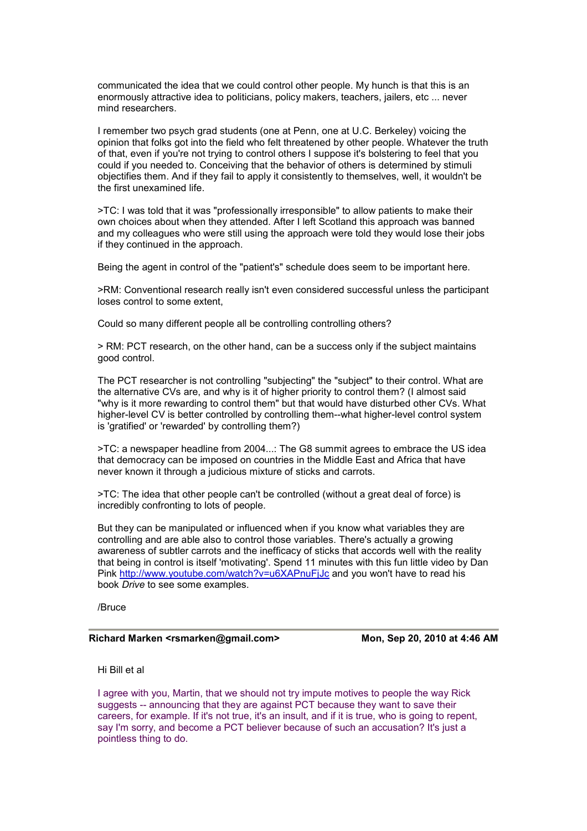communicated the idea that we could control other people. My hunch is that this is an enormously attractive idea to politicians, policy makers, teachers, jailers, etc ... never mind researchers.

I remember two psych grad students (one at Penn, one at U.C. Berkeley) voicing the opinion that folks got into the field who felt threatened by other people. Whatever the truth of that, even if you're not trying to control others I suppose it's bolstering to feel that you could if you needed to. Conceiving that the behavior of others is determined by stimuli objectifies them. And if they fail to apply it consistently to themselves, well, it wouldn't be the first unexamined life.

>TC: I was told that it was "professionally irresponsible" to allow patients to make their own choices about when they attended. After I left Scotland this approach was banned and my colleagues who were still using the approach were told they would lose their jobs if they continued in the approach.

Being the agent in control of the "patient's" schedule does seem to be important here.

>RM: Conventional research really isn't even considered successful unless the participant loses control to some extent,

Could so many different people all be controlling controlling others?

> RM: PCT research, on the other hand, can be a success only if the subject maintains good control.

The PCT researcher is not controlling "subjecting" the "subject" to their control. What are the alternative CVs are, and why is it of higher priority to control them? (I almost said "why is it more rewarding to control them" but that would have disturbed other CVs. What higher-level CV is better controlled by controlling them--what higher-level control system is 'gratified' or 'rewarded' by controlling them?)

>TC: a newspaper headline from 2004...: The G8 summit agrees to embrace the US idea that democracy can be imposed on countries in the Middle East and Africa that have never known it through a judicious mixture of sticks and carrots.

>TC: The idea that other people can't be controlled (without a great deal of force) is incre[dibly confronting to lots of people.](http://www.youtube.com/watch?v=u6XAPnuFjJc) 

But they can be manipulated or influenced when if you know what variables they are controlling and are able also to control those variables. There's actually a growing awareness of subtler carrots and the inefficacy of sticks that accords well with the reality that being in control is itself 'motivating'. Spend 11 minutes with this fun little video by Dan Pink http://www.youtube.com/watch?v=u6XAPnuFjJc and you won't have to read his book *Drive* to see some examples.

/Bruce

### Richard Marken <rsmarken@gmail.com> Mon, Sep 20, 2010 at 4:46 AM

Hi Bill et al

I agree with you, Martin, that we should not try impute motives to people the way Rick suggests -- announcing that they are against PCT because they want to save their careers, for example. If it's not true, it's an insult, and if it is true, who is going to repent, say I'm sorry, and become a PCT believer because of such an accusation? It's just a pointless thing to do.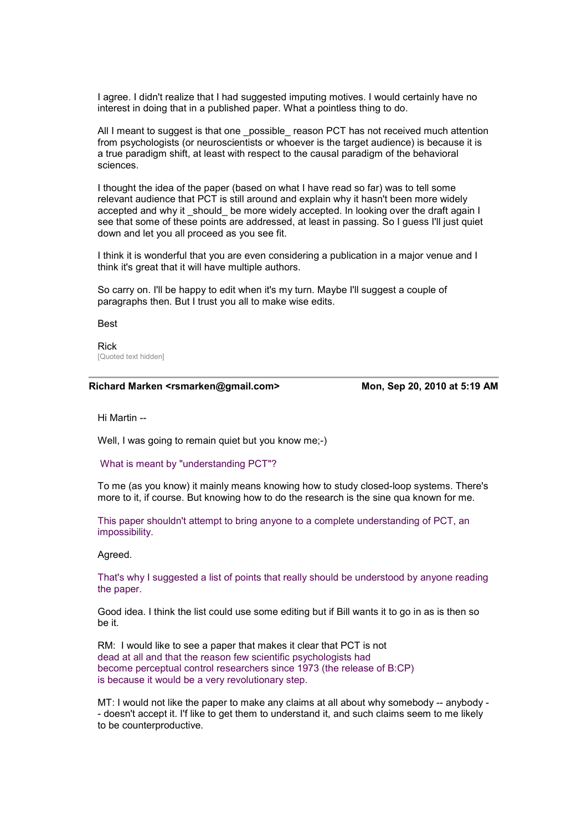I agree. I didn't realize that I had suggested imputing motives. I would certainly have no interest in doing that in a published paper. What a pointless thing to do.

All I meant to suggest is that one \_possible\_ reason PCT has not received much attention from psychologists (or neuroscientists or whoever is the target audience) is because it is a true paradigm shift, at least with respect to the causal paradigm of the behavioral sciences.

I thought the idea of the paper (based on what I have read so far) was to tell some relevant audience that PCT is still around and explain why it hasn't been more widely accepted and why it should be more widely accepted. In looking over the draft again I see that some of these points are addressed, at least in passing. So I guess I'll just quiet down and let you all proceed as you see fit.

I think it is wonderful that you are even considering a publication in a major venue and I think it's great that it will have multiple authors.

So carry on. I'll be happy to edit when it's my turn. Maybe I'll suggest a couple of paragraphs then. But I trust you all to make wise edits.

Best

Rick [Quoted text hidden]

#### **Richard Marken <rsmarken@gmail.com> Mon, Sep 20, 2010 at 5:19 AM**

Hi Martin --

Well, I was going to remain quiet but you know me;-)

What is meant by "understanding PCT"?

To me (as you know) it mainly means knowing how to study closed-loop systems. There's more to it, if course. But knowing how to do the research is the sine qua known for me.

This paper shouldn't attempt to bring anyone to a complete understanding of PCT, an impossibility.

Agreed.

That's why I suggested a list of points that really should be understood by anyone reading the paper.

Good idea. I think the list could use some editing but if Bill wants it to go in as is then so be it.

RM: I would like to see a paper that makes it clear that PCT is not dead at all and that the reason few scientific psychologists had become perceptual control researchers since 1973 (the release of B:CP) is because it would be a very revolutionary step.

MT: I would not like the paper to make any claims at all about why somebody -- anybody - - doesn't accept it. I'f like to get them to understand it, and such claims seem to me likely to be counterproductive.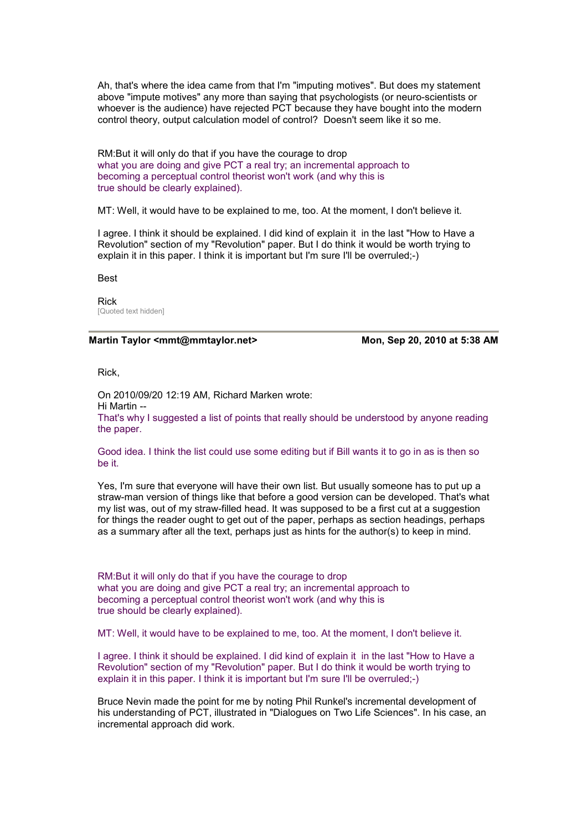Ah, that's where the idea came from that I'm "imputing motives". But does my statement above "impute motives" any more than saying that psychologists (or neuro-scientists or whoever is the audience) have rejected PCT because they have bought into the modern control theory, output calculation model of control? Doesn't seem like it so me.

RM:But it will only do that if you have the courage to drop what you are doing and give PCT a real try; an incremental approach to becoming a perceptual control theorist won't work (and why this is true should be clearly explained).

MT: Well, it would have to be explained to me, too. At the moment, I don't believe it.

I agree. I think it should be explained. I did kind of explain it in the last "How to Have a Revolution" section of my "Revolution" paper. But I do think it would be worth trying to explain it in this paper. I think it is important but I'm sure I'll be overruled;-)

Best

Rick [Quoted text hidden]

#### Martin Taylor <mmt@mmtaylor.net> Mon, Sep 20, 2010 at 5:38 AM

Rick,

On 2010/09/20 12:19 AM, Richard Marken wrote: Hi Martin -- That's why I suggested a list of points that really should be understood by anyone reading the paper.

Good idea. I think the list could use some editing but if Bill wants it to go in as is then so be it.

Yes, I'm sure that everyone will have their own list. But usually someone has to put up a straw-man version of things like that before a good version can be developed. That's what my list was, out of my straw-filled head. It was supposed to be a first cut at a suggestion for things the reader ought to get out of the paper, perhaps as section headings, perhaps as a summary after all the text, perhaps just as hints for the author(s) to keep in mind.

RM:But it will only do that if you have the courage to drop what you are doing and give PCT a real try; an incremental approach to becoming a perceptual control theorist won't work (and why this is true should be clearly explained).

MT: Well, it would have to be explained to me, too. At the moment, I don't believe it.

I agree. I think it should be explained. I did kind of explain it in the last "How to Have a Revolution" section of my "Revolution" paper. But I do think it would be worth trying to explain it in this paper. I think it is important but I'm sure I'll be overruled;-)

Bruce Nevin made the point for me by noting Phil Runkel's incremental development of his understanding of PCT, illustrated in "Dialogues on Two Life Sciences". In his case, an incremental approach did work.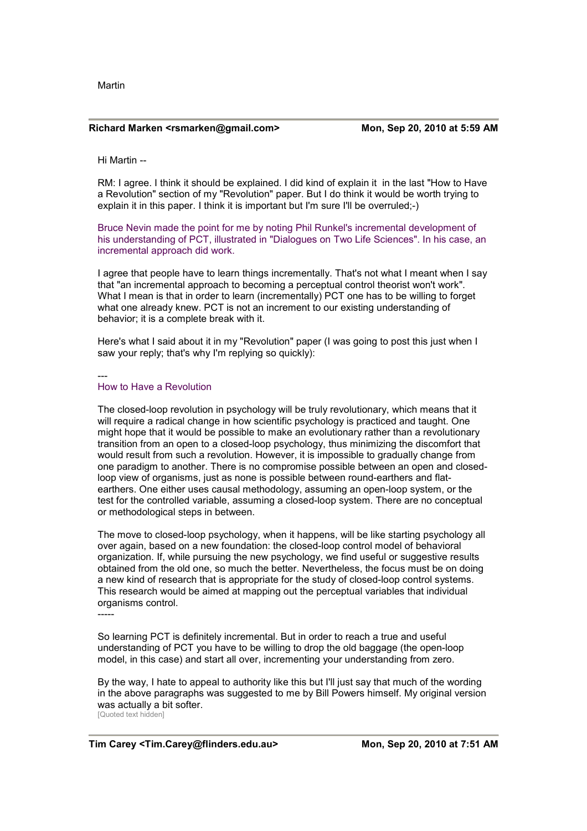Martin

#### **Richard Marken <rsmarken@gmail.com> Mon, Sep 20, 2010 at 5:59 AM**

Hi Martin --

RM: I agree. I think it should be explained. I did kind of explain it in the last "How to Have a Revolution" section of my "Revolution" paper. But I do think it would be worth trying to explain it in this paper. I think it is important but I'm sure I'll be overruled;-)

Bruce Nevin made the point for me by noting Phil Runkel's incremental development of his understanding of PCT, illustrated in "Dialogues on Two Life Sciences". In his case, an incremental approach did work.

I agree that people have to learn things incrementally. That's not what I meant when I say that "an incremental approach to becoming a perceptual control theorist won't work". What I mean is that in order to learn (incrementally) PCT one has to be willing to forget what one already knew. PCT is not an increment to our existing understanding of behavior; it is a complete break with it.

Here's what I said about it in my "Revolution" paper (I was going to post this just when I saw your reply; that's why I'm replying so quickly):

---

#### How to Have a Revolution

The closed-loop revolution in psychology will be truly revolutionary, which means that it will require a radical change in how scientific psychology is practiced and taught. One might hope that it would be possible to make an evolutionary rather than a revolutionary transition from an open to a closed-loop psychology, thus minimizing the discomfort that would result from such a revolution. However, it is impossible to gradually change from one paradigm to another. There is no compromise possible between an open and closedloop view of organisms, just as none is possible between round-earthers and flatearthers. One either uses causal methodology, assuming an open-loop system, or the test for the controlled variable, assuming a closed-loop system. There are no conceptual or methodological steps in between.

The move to closed-loop psychology, when it happens, will be like starting psychology all over again, based on a new foundation: the closed-loop control model of behavioral organization. If, while pursuing the new psychology, we find useful or suggestive results obtained from the old one, so much the better. Nevertheless, the focus must be on doing a new kind of research that is appropriate for the study of closed-loop control systems. This research would be aimed at mapping out the perceptual variables that individual organisms control.

-----

So learning PCT is definitely incremental. But in order to reach a true and useful understanding of PCT you have to be willing to drop the old baggage (the open-loop model, in this case) and start all over, incrementing your understanding from zero.

By the way, I hate to appeal to authority like this but I'll just say that much of the wording in the above paragraphs was suggested to me by Bill Powers himself. My original version was actually a bit softer. [Quoted text hidden]